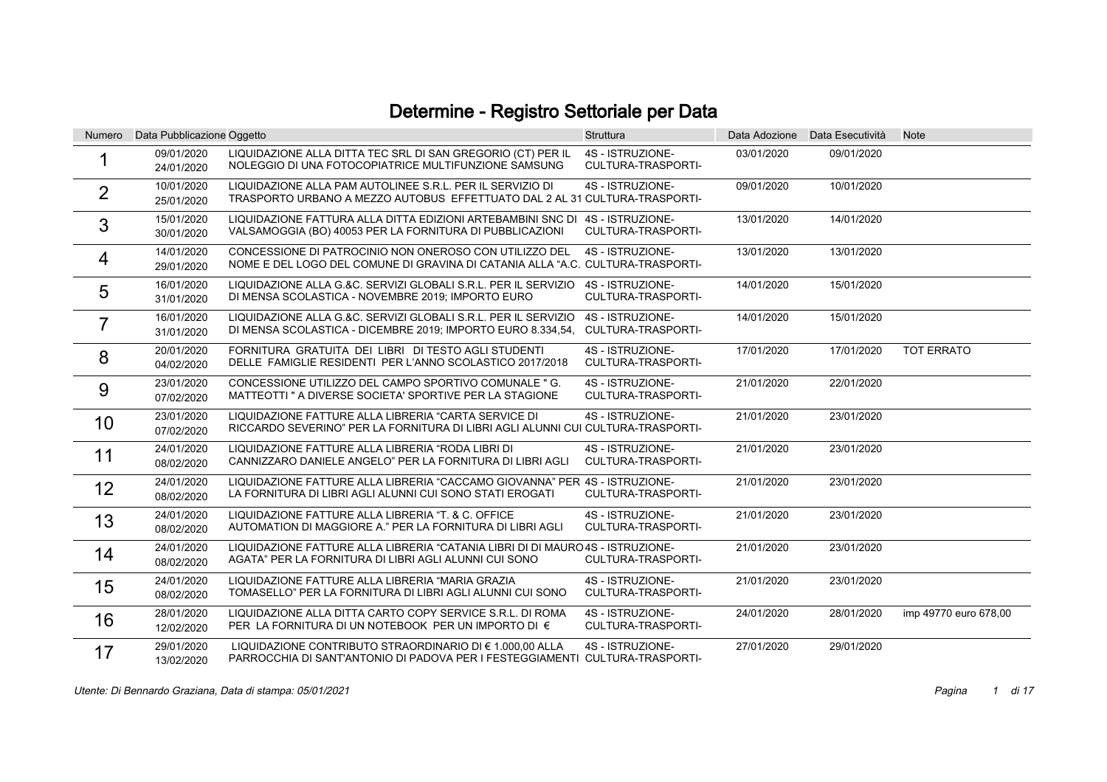## Determine - Registro Settoriale per Data

| <b>Numero</b>  | Data Pubblicazione Oggetto |                                                                                                                                          | <b>Struttura</b>                              | Data Adozione | Data Esecutività | <b>Note</b>           |
|----------------|----------------------------|------------------------------------------------------------------------------------------------------------------------------------------|-----------------------------------------------|---------------|------------------|-----------------------|
|                | 09/01/2020<br>24/01/2020   | LIQUIDAZIONE ALLA DITTA TEC SRL DI SAN GREGORIO (CT) PER IL<br>NOLEGGIO DI UNA FOTOCOPIATRICE MULTIFUNZIONE SAMSUNG                      | 4S - ISTRUZIONE-<br>CULTURA-TRASPORTI-        | 03/01/2020    | 09/01/2020       |                       |
| $\overline{2}$ | 10/01/2020<br>25/01/2020   | LIQUIDAZIONE ALLA PAM AUTOLINEE S.R.L. PER IL SERVIZIO DI<br>TRASPORTO URBANO A MEZZO AUTOBUS EFFETTUATO DAL 2 AL 31 CULTURA-TRASPORTI-  | 4S - ISTRUZIONE-                              | 09/01/2020    | 10/01/2020       |                       |
| 3              | 15/01/2020<br>30/01/2020   | LIQUIDAZIONE FATTURA ALLA DITTA EDIZIONI ARTEBAMBINI SNC DI 4S - ISTRUZIONE-<br>VALSAMOGGIA (BO) 40053 PER LA FORNITURA DI PUBBLICAZIONI | CULTURA-TRASPORTI-                            | 13/01/2020    | 14/01/2020       |                       |
| 4              | 14/01/2020<br>29/01/2020   | CONCESSIONE DI PATROCINIO NON ONEROSO CON UTILIZZO DEL<br>NOME E DEL LOGO DEL COMUNE DI GRAVINA DI CATANIA ALLA "A.C. CULTURA-TRASPORTI- | 4S - ISTRUZIONE-                              | 13/01/2020    | 13/01/2020       |                       |
| 5              | 16/01/2020<br>31/01/2020   | LIQUIDAZIONE ALLA G.&C. SERVIZI GLOBALI S.R.L. PER IL SERVIZIO<br>DI MENSA SCOLASTICA - NOVEMBRE 2019; IMPORTO EURO                      | 4S - ISTRUZIONE-<br>CULTURA-TRASPORTI-        | 14/01/2020    | 15/01/2020       |                       |
|                | 16/01/2020<br>31/01/2020   | LIQUIDAZIONE ALLA G.&C. SERVIZI GLOBALI S.R.L. PER IL SERVIZIO<br>DI MENSA SCOLASTICA - DICEMBRE 2019; IMPORTO EURO 8.334,54,            | 4S - ISTRUZIONE-<br><b>CULTURA-TRASPORTI-</b> | 14/01/2020    | 15/01/2020       |                       |
| 8              | 20/01/2020<br>04/02/2020   | FORNITURA GRATUITA DEI LIBRI DI TESTO AGLI STUDENTI<br>DELLE FAMIGLIE RESIDENTI PER L'ANNO SCOLASTICO 2017/2018                          | 4S - ISTRUZIONE-<br>CULTURA-TRASPORTI-        | 17/01/2020    | 17/01/2020       | <b>TOT ERRATO</b>     |
| 9              | 23/01/2020<br>07/02/2020   | CONCESSIONE UTILIZZO DEL CAMPO SPORTIVO COMUNALE "G.<br>MATTEOTTI " A DIVERSE SOCIETA' SPORTIVE PER LA STAGIONE                          | 4S - ISTRUZIONE-<br>CULTURA-TRASPORTI-        | 21/01/2020    | 22/01/2020       |                       |
| 10             | 23/01/2020<br>07/02/2020   | LIQUIDAZIONE FATTURE ALLA LIBRERIA "CARTA SERVICE DI<br>RICCARDO SEVERINO" PER LA FORNITURA DI LIBRI AGLI ALUNNI CUI CULTURA-TRASPORTI-  | 4S - ISTRUZIONE-                              | 21/01/2020    | 23/01/2020       |                       |
| 11             | 24/01/2020<br>08/02/2020   | LIQUIDAZIONE FATTURE ALLA LIBRERIA "RODA LIBRI DI<br>CANNIZZARO DANIELE ANGELO" PER LA FORNITURA DI LIBRI AGLI                           | 4S - ISTRUZIONE-<br>CULTURA-TRASPORTI-        | 21/01/2020    | 23/01/2020       |                       |
| 12             | 24/01/2020<br>08/02/2020   | LIQUIDAZIONE FATTURE ALLA LIBRERIA "CACCAMO GIOVANNA" PER 4S - ISTRUZIONE-<br>LA FORNITURA DI LIBRI AGLI ALUNNI CUI SONO STATI EROGATI   | <b>CULTURA-TRASPORTI-</b>                     | 21/01/2020    | 23/01/2020       |                       |
| 13             | 24/01/2020<br>08/02/2020   | LIQUIDAZIONE FATTURE ALLA LIBRERIA "T. & C. OFFICE<br>AUTOMATION DI MAGGIORE A." PER LA FORNITURA DI LIBRI AGLI                          | 4S - ISTRUZIONE-<br>CULTURA-TRASPORTI-        | 21/01/2020    | 23/01/2020       |                       |
| 14             | 24/01/2020<br>08/02/2020   | LIQUIDAZIONE FATTURE ALLA LIBRERIA "CATANIA LIBRI DI DI MAURO 4S - ISTRUZIONE-<br>AGATA" PER LA FORNITURA DI LIBRI AGLI ALUNNI CUI SONO  | <b>CULTURA-TRASPORTI-</b>                     | 21/01/2020    | 23/01/2020       |                       |
| 15             | 24/01/2020<br>08/02/2020   | LIQUIDAZIONE FATTURE ALLA LIBRERIA "MARIA GRAZIA<br>TOMASELLO" PER LA FORNITURA DI LIBRI AGLI ALUNNI CUI SONO                            | 4S - ISTRUZIONE-<br>CULTURA-TRASPORTI-        | 21/01/2020    | 23/01/2020       |                       |
| 16             | 28/01/2020<br>12/02/2020   | LIQUIDAZIONE ALLA DITTA CARTO COPY SERVICE S.R.L. DI ROMA<br>PER LA FORNITURA DI UN NOTEBOOK PER UN IMPORTO DI €                         | 4S - ISTRUZIONE-<br>CULTURA-TRASPORTI-        | 24/01/2020    | 28/01/2020       | imp 49770 euro 678,00 |
| 17             | 29/01/2020<br>13/02/2020   | LIQUIDAZIONE CONTRIBUTO STRAORDINARIO DI € 1.000,00 ALLA<br>PARROCCHIA DI SANT'ANTONIO DI PADOVA PER I FESTEGGIAMENTI CULTURA-TRASPORTI- | 4S - ISTRUZIONE-                              | 27/01/2020    | 29/01/2020       |                       |

Utente: Di Bennardo Graziana, Data di stampa: 05/01/2021 **Pagina** di 17 novembre 2012 al 2014 Pagina di 17 novembre 2014 al 2014 al 2014 al 2014 al 2014 al 2014 al 2014 al 2014 al 2014 al 2014 al 2014 al 2014 al 2014 al 20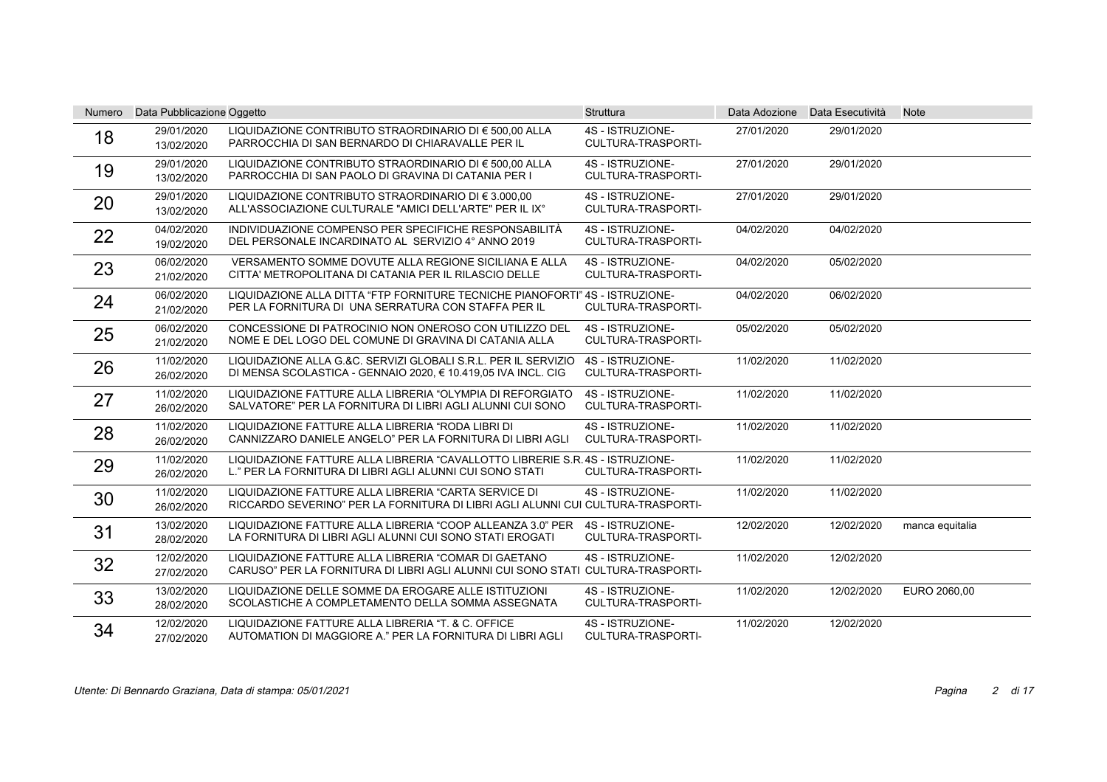| <b>Numero</b> | Data Pubblicazione Oggetto |                                                                                                                                           | <b>Struttura</b>                              |            | Data Adozione Data Esecutività | <b>Note</b>     |
|---------------|----------------------------|-------------------------------------------------------------------------------------------------------------------------------------------|-----------------------------------------------|------------|--------------------------------|-----------------|
| 18            | 29/01/2020<br>13/02/2020   | LIQUIDAZIONE CONTRIBUTO STRAORDINARIO DI € 500.00 ALLA<br>PARROCCHIA DI SAN BERNARDO DI CHIARAVALLE PER IL                                | 4S - ISTRUZIONE-<br>CULTURA-TRASPORTI-        | 27/01/2020 | 29/01/2020                     |                 |
| 19            | 29/01/2020<br>13/02/2020   | LIQUIDAZIONE CONTRIBUTO STRAORDINARIO DI € 500.00 ALLA<br>PARROCCHIA DI SAN PAOLO DI GRAVINA DI CATANIA PER I                             | 4S - ISTRUZIONE-<br><b>CULTURA-TRASPORTI-</b> | 27/01/2020 | 29/01/2020                     |                 |
| 20            | 29/01/2020<br>13/02/2020   | LIQUIDAZIONE CONTRIBUTO STRAORDINARIO DI € 3.000.00<br>ALL'ASSOCIAZIONE CULTURALE "AMICI DELL'ARTE" PER IL IX°                            | 4S - ISTRUZIONE-<br>CULTURA-TRASPORTI-        | 27/01/2020 | 29/01/2020                     |                 |
| 22            | 04/02/2020<br>19/02/2020   | INDIVIDUAZIONE COMPENSO PER SPECIFICHE RESPONSABILITÀ<br>DEL PERSONALE INCARDINATO AL SERVIZIO 4° ANNO 2019                               | 4S - ISTRUZIONE-<br><b>CULTURA-TRASPORTI-</b> | 04/02/2020 | 04/02/2020                     |                 |
| 23            | 06/02/2020<br>21/02/2020   | VERSAMENTO SOMME DOVUTE ALLA REGIONE SICILIANA E ALLA<br>CITTA' METROPOLITANA DI CATANIA PER IL RILASCIO DELLE                            | 4S - ISTRUZIONE-<br>CULTURA-TRASPORTI-        | 04/02/2020 | 05/02/2020                     |                 |
| 24            | 06/02/2020<br>21/02/2020   | LIQUIDAZIONE ALLA DITTA "FTP FORNITURE TECNICHE PIANOFORTI" 4S - ISTRUZIONE-<br>PER LA FORNITURA DI UNA SERRATURA CON STAFFA PER IL       | CULTURA-TRASPORTI-                            | 04/02/2020 | 06/02/2020                     |                 |
| 25            | 06/02/2020<br>21/02/2020   | CONCESSIONE DI PATROCINIO NON ONEROSO CON UTILIZZO DEL<br>NOME E DEL LOGO DEL COMUNE DI GRAVINA DI CATANIA ALLA                           | 4S - ISTRUZIONE-<br>CULTURA-TRASPORTI-        | 05/02/2020 | 05/02/2020                     |                 |
| 26            | 11/02/2020<br>26/02/2020   | LIQUIDAZIONE ALLA G.&C. SERVIZI GLOBALI S.R.L. PER IL SERVIZIO<br>DI MENSA SCOLASTICA - GENNAIO 2020, € 10.419,05 IVA INCL. CIG           | 4S - ISTRUZIONE-<br>CULTURA-TRASPORTI-        | 11/02/2020 | 11/02/2020                     |                 |
| 27            | 11/02/2020<br>26/02/2020   | LIQUIDAZIONE FATTURE ALLA LIBRERIA "OLYMPIA DI REFORGIATO<br>SALVATORE" PER LA FORNITURA DI LIBRI AGLI ALUNNI CUI SONO                    | 4S - ISTRUZIONE-<br><b>CULTURA-TRASPORTI-</b> | 11/02/2020 | 11/02/2020                     |                 |
| 28            | 11/02/2020<br>26/02/2020   | LIQUIDAZIONE FATTURE ALLA LIBRERIA "RODA LIBRI DI<br>CANNIZZARO DANIELE ANGELO" PER LA FORNITURA DI LIBRI AGLI                            | 4S - ISTRUZIONE-<br>CULTURA-TRASPORTI-        | 11/02/2020 | 11/02/2020                     |                 |
| 29            | 11/02/2020<br>26/02/2020   | LIQUIDAZIONE FATTURE ALLA LIBRERIA "CAVALLOTTO LIBRERIE S.R. 4S - ISTRUZIONE-<br>L." PER LA FORNITURA DI LIBRI AGLI ALUNNI CUI SONO STATI | CULTURA-TRASPORTI-                            | 11/02/2020 | 11/02/2020                     |                 |
| 30            | 11/02/2020<br>26/02/2020   | LIQUIDAZIONE FATTURE ALLA LIBRERIA "CARTA SERVICE DI<br>RICCARDO SEVERINO" PER LA FORNITURA DI LIBRI AGLI ALUNNI CUI CULTURA-TRASPORTI-   | 4S - ISTRUZIONE-                              | 11/02/2020 | 11/02/2020                     |                 |
| 31            | 13/02/2020<br>28/02/2020   | LIQUIDAZIONE FATTURE ALLA LIBRERIA "COOP ALLEANZA 3.0" PER<br>LA FORNITURA DI LIBRI AGLI ALUNNI CUI SONO STATI EROGATI                    | 4S - ISTRUZIONE-<br><b>CULTURA-TRASPORTI-</b> | 12/02/2020 | 12/02/2020                     | manca equitalia |
| 32            | 12/02/2020<br>27/02/2020   | LIQUIDAZIONE FATTURE ALLA LIBRERIA "COMAR DI GAETANO<br>CARUSO" PER LA FORNITURA DI LIBRI AGLI ALUNNI CUI SONO STATI CULTURA-TRASPORTI-   | 4S - ISTRUZIONE-                              | 11/02/2020 | 12/02/2020                     |                 |
| 33            | 13/02/2020<br>28/02/2020   | LIQUIDAZIONE DELLE SOMME DA EROGARE ALLE ISTITUZIONI<br>SCOLASTICHE A COMPLETAMENTO DELLA SOMMA ASSEGNATA                                 | 4S - ISTRUZIONE-<br>CULTURA-TRASPORTI-        | 11/02/2020 | 12/02/2020                     | EURO 2060,00    |
| 34            | 12/02/2020<br>27/02/2020   | LIQUIDAZIONE FATTURE ALLA LIBRERIA "T. & C. OFFICE<br>AUTOMATION DI MAGGIORE A." PER LA FORNITURA DI LIBRI AGLI                           | 4S - ISTRUZIONE-<br>CULTURA-TRASPORTI-        | 11/02/2020 | 12/02/2020                     |                 |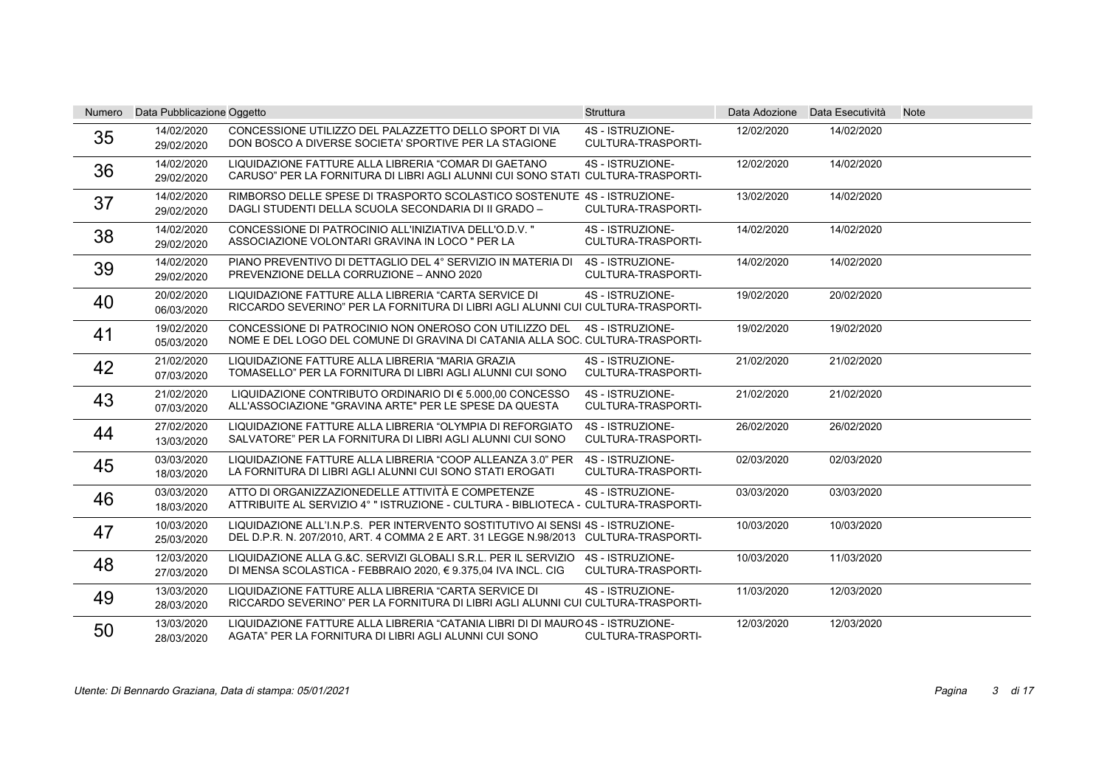| Numero | Data Pubblicazione Oggetto |                                                                                                                                                                       | <b>Struttura</b>                              |            | Data Adozione Data Esecutività | <b>Note</b> |
|--------|----------------------------|-----------------------------------------------------------------------------------------------------------------------------------------------------------------------|-----------------------------------------------|------------|--------------------------------|-------------|
| 35     | 14/02/2020<br>29/02/2020   | CONCESSIONE UTILIZZO DEL PALAZZETTO DELLO SPORT DI VIA<br>DON BOSCO A DIVERSE SOCIETA' SPORTIVE PER LA STAGIONE                                                       | 4S - ISTRUZIONE-<br>CULTURA-TRASPORTI-        | 12/02/2020 | 14/02/2020                     |             |
| 36     | 14/02/2020<br>29/02/2020   | LIQUIDAZIONE FATTURE ALLA LIBRERIA "COMAR DI GAETANO<br>CARUSO" PER LA FORNITURA DI LIBRI AGLI ALUNNI CUI SONO STATI CULTURA-TRASPORTI-                               | 4S - ISTRUZIONE-                              | 12/02/2020 | 14/02/2020                     |             |
| 37     | 14/02/2020<br>29/02/2020   | RIMBORSO DELLE SPESE DI TRASPORTO SCOLASTICO SOSTENUTE 4S - ISTRUZIONE-<br>DAGLI STUDENTI DELLA SCUOLA SECONDARIA DI II GRADO -                                       | CULTURA-TRASPORTI-                            | 13/02/2020 | 14/02/2020                     |             |
| 38     | 14/02/2020<br>29/02/2020   | CONCESSIONE DI PATROCINIO ALL'INIZIATIVA DELL'O.D.V. "<br>ASSOCIAZIONE VOLONTARI GRAVINA IN LOCO " PER LA                                                             | 4S - ISTRUZIONE-<br><b>CULTURA-TRASPORTI-</b> | 14/02/2020 | 14/02/2020                     |             |
| 39     | 14/02/2020<br>29/02/2020   | PIANO PREVENTIVO DI DETTAGLIO DEL 4° SERVIZIO IN MATERIA DI<br>PREVENZIONE DELLA CORRUZIONE - ANNO 2020                                                               | 4S - ISTRUZIONE-<br>CULTURA-TRASPORTI-        | 14/02/2020 | 14/02/2020                     |             |
| 40     | 20/02/2020<br>06/03/2020   | LIQUIDAZIONE FATTURE ALLA LIBRERIA "CARTA SERVICE DI<br>RICCARDO SEVERINO" PER LA FORNITURA DI LIBRI AGLI ALUNNI CUI CULTURA-TRASPORTI-                               | 4S - ISTRUZIONE-                              | 19/02/2020 | 20/02/2020                     |             |
| 41     | 19/02/2020<br>05/03/2020   | CONCESSIONE DI PATROCINIO NON ONEROSO CON UTILIZZO DEL<br>NOME E DEL LOGO DEL COMUNE DI GRAVINA DI CATANIA ALLA SOC. CULTURA-TRASPORTI-                               | 4S - ISTRUZIONE-                              | 19/02/2020 | 19/02/2020                     |             |
| 42     | 21/02/2020<br>07/03/2020   | LIQUIDAZIONE FATTURE ALLA LIBRERIA "MARIA GRAZIA<br>TOMASELLO" PER LA FORNITURA DI LIBRI AGLI ALUNNI CUI SONO                                                         | 4S - ISTRUZIONE-<br><b>CULTURA-TRASPORTI-</b> | 21/02/2020 | 21/02/2020                     |             |
| 43     | 21/02/2020<br>07/03/2020   | LIQUIDAZIONE CONTRIBUTO ORDINARIO DI € 5.000.00 CONCESSO<br>ALL'ASSOCIAZIONE "GRAVINA ARTE" PER LE SPESE DA QUESTA                                                    | 4S - ISTRUZIONE-<br><b>CULTURA-TRASPORTI-</b> | 21/02/2020 | 21/02/2020                     |             |
| 44     | 27/02/2020<br>13/03/2020   | LIQUIDAZIONE FATTURE ALLA LIBRERIA "OLYMPIA DI REFORGIATO<br>SALVATORE" PER LA FORNITURA DI LIBRI AGLI ALUNNI CUI SONO                                                | 4S - ISTRUZIONE-<br>CULTURA-TRASPORTI-        | 26/02/2020 | 26/02/2020                     |             |
| 45     | 03/03/2020<br>18/03/2020   | LIQUIDAZIONE FATTURE ALLA LIBRERIA "COOP ALLEANZA 3.0" PER<br>LA FORNITURA DI LIBRI AGLI ALUNNI CUI SONO STATI EROGATI                                                | 4S - ISTRUZIONE-<br>CULTURA-TRASPORTI-        | 02/03/2020 | 02/03/2020                     |             |
| 46     | 03/03/2020<br>18/03/2020   | ATTO DI ORGANIZZAZIONEDELLE ATTIVITÀ E COMPETENZE<br>ATTRIBUITE AL SERVIZIO 4° " ISTRUZIONE - CULTURA - BIBLIOTECA - CULTURA-TRASPORTI-                               | 4S - ISTRUZIONE-                              | 03/03/2020 | 03/03/2020                     |             |
| 47     | 10/03/2020<br>25/03/2020   | LIQUIDAZIONE ALL'I.N.P.S. PER INTERVENTO SOSTITUTIVO AI SENSI 4S - ISTRUZIONE-<br>DEL D.P.R. N. 207/2010, ART. 4 COMMA 2 E ART. 31 LEGGE N.98/2013 CULTURA-TRASPORTI- |                                               | 10/03/2020 | 10/03/2020                     |             |
| 48     | 12/03/2020<br>27/03/2020   | LIQUIDAZIONE ALLA G.&C. SERVIZI GLOBALI S.R.L. PER IL SERVIZIO<br>DI MENSA SCOLASTICA - FEBBRAIO 2020, € 9.375,04 IVA INCL. CIG                                       | 4S - ISTRUZIONE-<br>CULTURA-TRASPORTI-        | 10/03/2020 | 11/03/2020                     |             |
| 49     | 13/03/2020<br>28/03/2020   | LIQUIDAZIONE FATTURE ALLA LIBRERIA "CARTA SERVICE DI<br>RICCARDO SEVERINO" PER LA FORNITURA DI LIBRI AGLI ALUNNI CUI CULTURA-TRASPORTI-                               | 4S - ISTRUZIONE-                              | 11/03/2020 | 12/03/2020                     |             |
| 50     | 13/03/2020<br>28/03/2020   | LIQUIDAZIONE FATTURE ALLA LIBRERIA "CATANIA LIBRI DI DI MAURO 4S - ISTRUZIONE-<br>AGATA" PER LA FORNITURA DI LIBRI AGLI ALUNNI CUI SONO                               | CULTURA-TRASPORTI-                            | 12/03/2020 | 12/03/2020                     |             |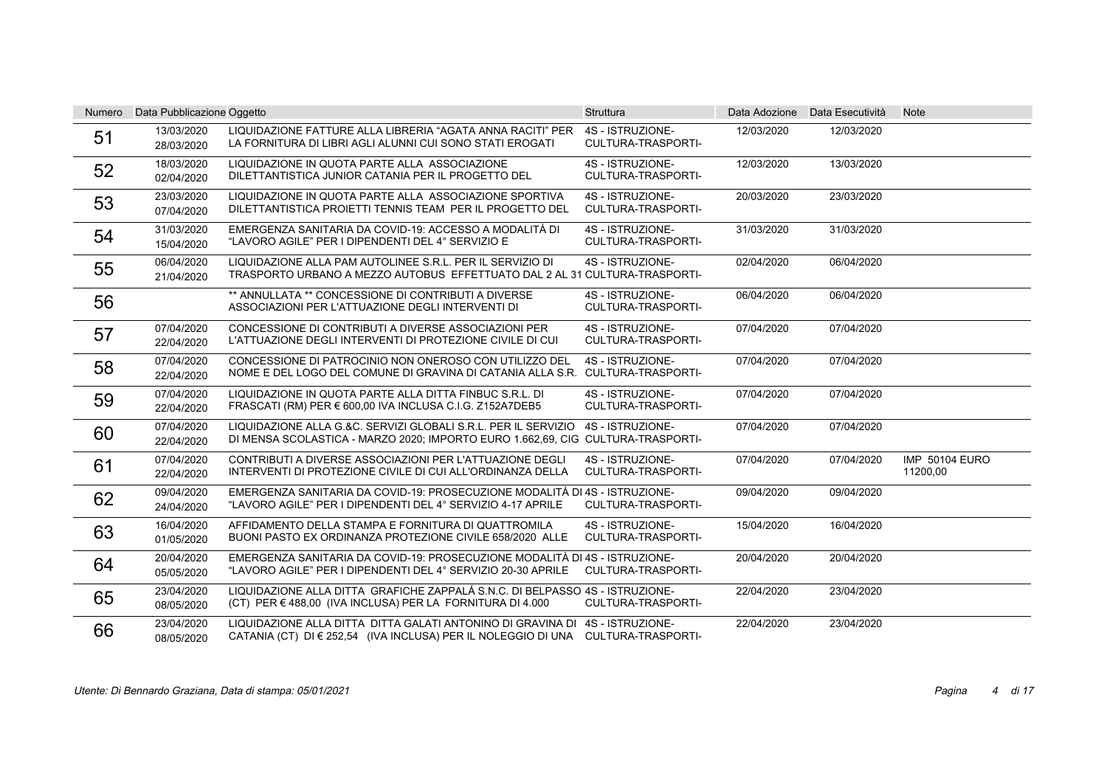| Numero | Data Pubblicazione Oggetto |                                                                                                                                                   | <b>Struttura</b>                              |            | Data Adozione Data Esecutività | <b>Note</b>                       |
|--------|----------------------------|---------------------------------------------------------------------------------------------------------------------------------------------------|-----------------------------------------------|------------|--------------------------------|-----------------------------------|
| 51     | 13/03/2020<br>28/03/2020   | LIQUIDAZIONE FATTURE ALLA LIBRERIA "AGATA ANNA RACITI" PER<br>LA FORNITURA DI LIBRI AGLI ALUNNI CUI SONO STATI EROGATI                            | 4S - ISTRUZIONE-<br><b>CULTURA-TRASPORTI-</b> | 12/03/2020 | 12/03/2020                     |                                   |
| 52     | 18/03/2020<br>02/04/2020   | LIQUIDAZIONE IN QUOTA PARTE ALLA ASSOCIAZIONE<br>DILETTANTISTICA JUNIOR CATANIA PER IL PROGETTO DEL                                               | 4S - ISTRUZIONE-<br><b>CULTURA-TRASPORTI-</b> | 12/03/2020 | 13/03/2020                     |                                   |
| 53     | 23/03/2020<br>07/04/2020   | LIQUIDAZIONE IN QUOTA PARTE ALLA ASSOCIAZIONE SPORTIVA<br>DILETTANTISTICA PROJETTI TENNIS TEAM PER IL PROGETTO DEL                                | 4S - ISTRUZIONE-<br><b>CULTURA-TRASPORTI-</b> | 20/03/2020 | 23/03/2020                     |                                   |
| 54     | 31/03/2020<br>15/04/2020   | EMERGENZA SANITARIA DA COVID-19: ACCESSO A MODALITÀ DI<br>"LAVORO AGILE" PER I DIPENDENTI DEL 4° SERVIZIO E                                       | 4S - ISTRUZIONE-<br>CULTURA-TRASPORTI-        | 31/03/2020 | 31/03/2020                     |                                   |
| 55     | 06/04/2020<br>21/04/2020   | LIQUIDAZIONE ALLA PAM AUTOLINEE S.R.L. PER IL SERVIZIO DI<br>TRASPORTO URBANO A MEZZO AUTOBUS EFFETTUATO DAL 2 AL 31 CULTURA-TRASPORTI-           | 4S - ISTRUZIONE-                              | 02/04/2020 | 06/04/2020                     |                                   |
| 56     |                            | ** ANNULLATA ** CONCESSIONE DI CONTRIBUTI A DIVERSE<br>ASSOCIAZIONI PER L'ATTUAZIONE DEGLI INTERVENTI DI                                          | 4S - ISTRUZIONE-<br><b>CULTURA-TRASPORTI-</b> | 06/04/2020 | 06/04/2020                     |                                   |
| 57     | 07/04/2020<br>22/04/2020   | CONCESSIONE DI CONTRIBUTI A DIVERSE ASSOCIAZIONI PER<br>L'ATTUAZIONE DEGLI INTERVENTI DI PROTEZIONE CIVILE DI CUI                                 | 4S - ISTRUZIONE-<br>CULTURA-TRASPORTI-        | 07/04/2020 | 07/04/2020                     |                                   |
| 58     | 07/04/2020<br>22/04/2020   | CONCESSIONE DI PATROCINIO NON ONEROSO CON UTILIZZO DEL<br>NOME E DEL LOGO DEL COMUNE DI GRAVINA DI CATANIA ALLA S.R. CULTURA-TRASPORTI-           | 4S - ISTRUZIONE-                              | 07/04/2020 | 07/04/2020                     |                                   |
| 59     | 07/04/2020<br>22/04/2020   | LIQUIDAZIONE IN QUOTA PARTE ALLA DITTA FINBUC S.R.L. DI<br>FRASCATI (RM) PER € 600.00 IVA INCLUSA C.I.G. Z152A7DEB5                               | 4S - ISTRUZIONE-<br><b>CULTURA-TRASPORTI-</b> | 07/04/2020 | 07/04/2020                     |                                   |
| 60     | 07/04/2020<br>22/04/2020   | LIQUIDAZIONE ALLA G.&C. SERVIZI GLOBALI S.R.L. PER IL SERVIZIO<br>DI MENSA SCOLASTICA - MARZO 2020; IMPORTO EURO 1.662,69, CIG CULTURA-TRASPORTI- | 4S - ISTRUZIONE-                              | 07/04/2020 | 07/04/2020                     |                                   |
| 61     | 07/04/2020<br>22/04/2020   | CONTRIBUTI A DIVERSE ASSOCIAZIONI PER L'ATTUAZIONE DEGLI<br>INTERVENTI DI PROTEZIONE CIVILE DI CUI ALL'ORDINANZA DELLA                            | 4S - ISTRUZIONE-<br>CULTURA-TRASPORTI-        | 07/04/2020 | 07/04/2020                     | <b>IMP 50104 EURO</b><br>11200,00 |
| 62     | 09/04/2020<br>24/04/2020   | EMERGENZA SANITARIA DA COVID-19: PROSECUZIONE MODALITÀ DI 4S - ISTRUZIONE-<br>"LAVORO AGILE" PER I DIPENDENTI DEL 4° SERVIZIO 4-17 APRILE         | CULTURA-TRASPORTI-                            | 09/04/2020 | 09/04/2020                     |                                   |
| 63     | 16/04/2020<br>01/05/2020   | AFFIDAMENTO DELLA STAMPA E FORNITURA DI QUATTROMILA<br>BUONI PASTO EX ORDINANZA PROTEZIONE CIVILE 658/2020 ALLE                                   | 4S - ISTRUZIONE-<br><b>CULTURA-TRASPORTI-</b> | 15/04/2020 | 16/04/2020                     |                                   |
| 64     | 20/04/2020<br>05/05/2020   | EMERGENZA SANITARIA DA COVID-19: PROSECUZIONE MODALITÀ DI 4S - ISTRUZIONE-<br>"LAVORO AGILE" PER I DIPENDENTI DEL 4° SERVIZIO 20-30 APRILE        | <b>CULTURA-TRASPORTI-</b>                     | 20/04/2020 | 20/04/2020                     |                                   |
| 65     | 23/04/2020<br>08/05/2020   | LIQUIDAZIONE ALLA DITTA GRAFICHE ZAPPALÁ S.N.C. DI BELPASSO 4S - ISTRUZIONE-<br>(CT) PER € 488,00 (IVA INCLUSA) PER LA FORNITURA DI 4.000         | CULTURA-TRASPORTI-                            | 22/04/2020 | 23/04/2020                     |                                   |
| 66     | 23/04/2020<br>08/05/2020   | LIQUIDAZIONE ALLA DITTA DITTA GALATI ANTONINO DI GRAVINA DI<br>CATANIA (CT) DI € 252,54 (IVA INCLUSA) PER IL NOLEGGIO DI UNA CULTURA-TRASPORTI-   | 4S - ISTRUZIONE-                              | 22/04/2020 | 23/04/2020                     |                                   |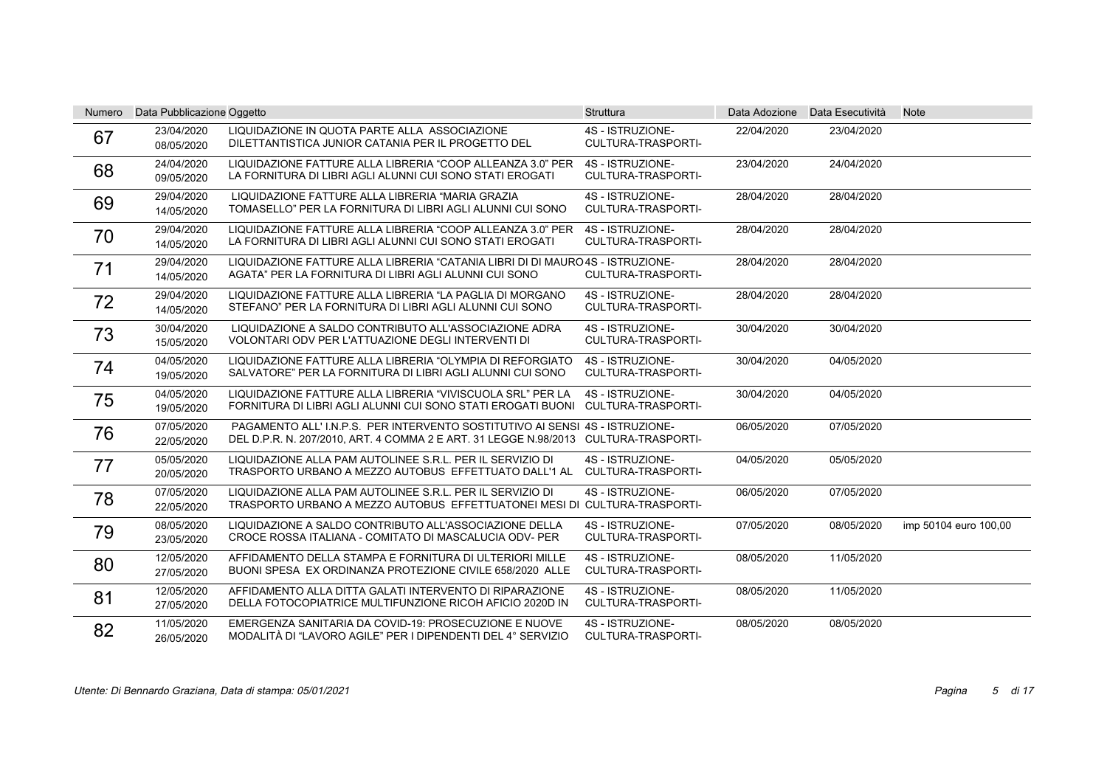| <b>Numero</b> | Data Pubblicazione Oggetto |                                                                                                                                                                  | <b>Struttura</b>                              |            | Data Adozione Data Esecutività | <b>Note</b>           |
|---------------|----------------------------|------------------------------------------------------------------------------------------------------------------------------------------------------------------|-----------------------------------------------|------------|--------------------------------|-----------------------|
| 67            | 23/04/2020<br>08/05/2020   | LIQUIDAZIONE IN QUOTA PARTE ALLA ASSOCIAZIONE<br>DILETTANTISTICA JUNIOR CATANIA PER IL PROGETTO DEL                                                              | 4S - ISTRUZIONE-<br>CULTURA-TRASPORTI-        | 22/04/2020 | 23/04/2020                     |                       |
| 68            | 24/04/2020<br>09/05/2020   | LIQUIDAZIONE FATTURE ALLA LIBRERIA "COOP ALLEANZA 3.0" PER<br>LA FORNITURA DI LIBRI AGLI ALUNNI CUI SONO STATI EROGATI                                           | 4S - ISTRUZIONE-<br><b>CULTURA-TRASPORTI-</b> | 23/04/2020 | 24/04/2020                     |                       |
| 69            | 29/04/2020<br>14/05/2020   | LIQUIDAZIONE FATTURE ALLA LIBRERIA "MARIA GRAZIA<br>TOMASELLO" PER LA FORNITURA DI LIBRI AGLI ALUNNI CUI SONO                                                    | 4S - ISTRUZIONE-<br>CULTURA-TRASPORTI-        | 28/04/2020 | 28/04/2020                     |                       |
| 70            | 29/04/2020<br>14/05/2020   | LIQUIDAZIONE FATTURE ALLA LIBRERIA "COOP ALLEANZA 3.0" PER<br>LA FORNITURA DI LIBRI AGLI ALUNNI CUI SONO STATI EROGATI                                           | 4S - ISTRUZIONE-<br><b>CULTURA-TRASPORTI-</b> | 28/04/2020 | 28/04/2020                     |                       |
| 71            | 29/04/2020<br>14/05/2020   | LIQUIDAZIONE FATTURE ALLA LIBRERIA "CATANIA LIBRI DI DI MAURO 4S - ISTRUZIONE-<br>AGATA" PER LA FORNITURA DI LIBRI AGLI ALUNNI CUI SONO                          | <b>CULTURA-TRASPORTI-</b>                     | 28/04/2020 | 28/04/2020                     |                       |
| 72            | 29/04/2020<br>14/05/2020   | LIQUIDAZIONE FATTURE ALLA LIBRERIA "LA PAGLIA DI MORGANO<br>STEFANO" PER LA FORNITURA DI LIBRI AGLI ALUNNI CUI SONO                                              | 4S - ISTRUZIONE-<br><b>CULTURA-TRASPORTI-</b> | 28/04/2020 | 28/04/2020                     |                       |
| 73            | 30/04/2020<br>15/05/2020   | LIQUIDAZIONE A SALDO CONTRIBUTO ALL'ASSOCIAZIONE ADRA<br>VOLONTARI ODV PER L'ATTUAZIONE DEGLI INTERVENTI DI                                                      | 4S - ISTRUZIONE-<br>CULTURA-TRASPORTI-        | 30/04/2020 | 30/04/2020                     |                       |
| 74            | 04/05/2020<br>19/05/2020   | LIQUIDAZIONE FATTURE ALLA LIBRERIA "OLYMPIA DI REFORGIATO<br>SALVATORE" PER LA FORNITURA DI LIBRI AGLI ALUNNI CUI SONO                                           | 4S - ISTRUZIONE-<br>CULTURA-TRASPORTI-        | 30/04/2020 | 04/05/2020                     |                       |
| 75            | 04/05/2020<br>19/05/2020   | LIQUIDAZIONE FATTURE ALLA LIBRERIA "VIVISCUOLA SRL" PER LA<br>FORNITURA DI LIBRI AGLI ALUNNI CUI SONO STATI EROGATI BUONI CULTURA-TRASPORTI-                     | 4S - ISTRUZIONE-                              | 30/04/2020 | 04/05/2020                     |                       |
| 76            | 07/05/2020<br>22/05/2020   | PAGAMENTO ALL'INP.S. PER INTERVENTO SOSTITUTIVO AI SENSI 4S - ISTRUZIONE-<br>DEL D.P.R. N. 207/2010, ART. 4 COMMA 2 E ART. 31 LEGGE N.98/2013 CULTURA-TRASPORTI- |                                               | 06/05/2020 | 07/05/2020                     |                       |
| 77            | 05/05/2020<br>20/05/2020   | LIQUIDAZIONE ALLA PAM AUTOLINEE S.R.L. PER IL SERVIZIO DI<br>TRASPORTO URBANO A MEZZO AUTOBUS EFFETTUATO DALL'1 AL                                               | 4S - ISTRUZIONE-<br><b>CULTURA-TRASPORTI-</b> | 04/05/2020 | 05/05/2020                     |                       |
| 78            | 07/05/2020<br>22/05/2020   | LIQUIDAZIONE ALLA PAM AUTOLINEE S.R.L. PER IL SERVIZIO DI<br>TRASPORTO URBANO A MEZZO AUTOBUS EFFETTUATONEI MESI DI CULTURA-TRASPORTI-                           | 4S - ISTRUZIONE-                              | 06/05/2020 | 07/05/2020                     |                       |
| 79            | 08/05/2020<br>23/05/2020   | LIQUIDAZIONE A SALDO CONTRIBUTO ALL'ASSOCIAZIONE DELLA<br>CROCE ROSSA ITALIANA - COMITATO DI MASCALUCIA ODV- PER                                                 | 4S - ISTRUZIONE-<br><b>CULTURA-TRASPORTI-</b> | 07/05/2020 | 08/05/2020                     | imp 50104 euro 100,00 |
| 80            | 12/05/2020<br>27/05/2020   | AFFIDAMENTO DELLA STAMPA E FORNITURA DI ULTERIORI MILLE<br>BUONI SPESA EX ORDINANZA PROTEZIONE CIVILE 658/2020 ALLE                                              | 4S - ISTRUZIONE-<br>CULTURA-TRASPORTI-        | 08/05/2020 | 11/05/2020                     |                       |
| 81            | 12/05/2020<br>27/05/2020   | AFFIDAMENTO ALLA DITTA GALATI INTERVENTO DI RIPARAZIONE<br>DELLA FOTOCOPIATRICE MULTIFUNZIONE RICOH AFICIO 2020D IN                                              | 4S - ISTRUZIONE-<br>CULTURA-TRASPORTI-        | 08/05/2020 | 11/05/2020                     |                       |
| 82            | 11/05/2020<br>26/05/2020   | EMERGENZA SANITARIA DA COVID-19: PROSECUZIONE E NUOVE<br>MODALITÀ DI "LAVORO AGILE" PER I DIPENDENTI DEL 4° SERVIZIO                                             | 4S - ISTRUZIONE-<br>CULTURA-TRASPORTI-        | 08/05/2020 | 08/05/2020                     |                       |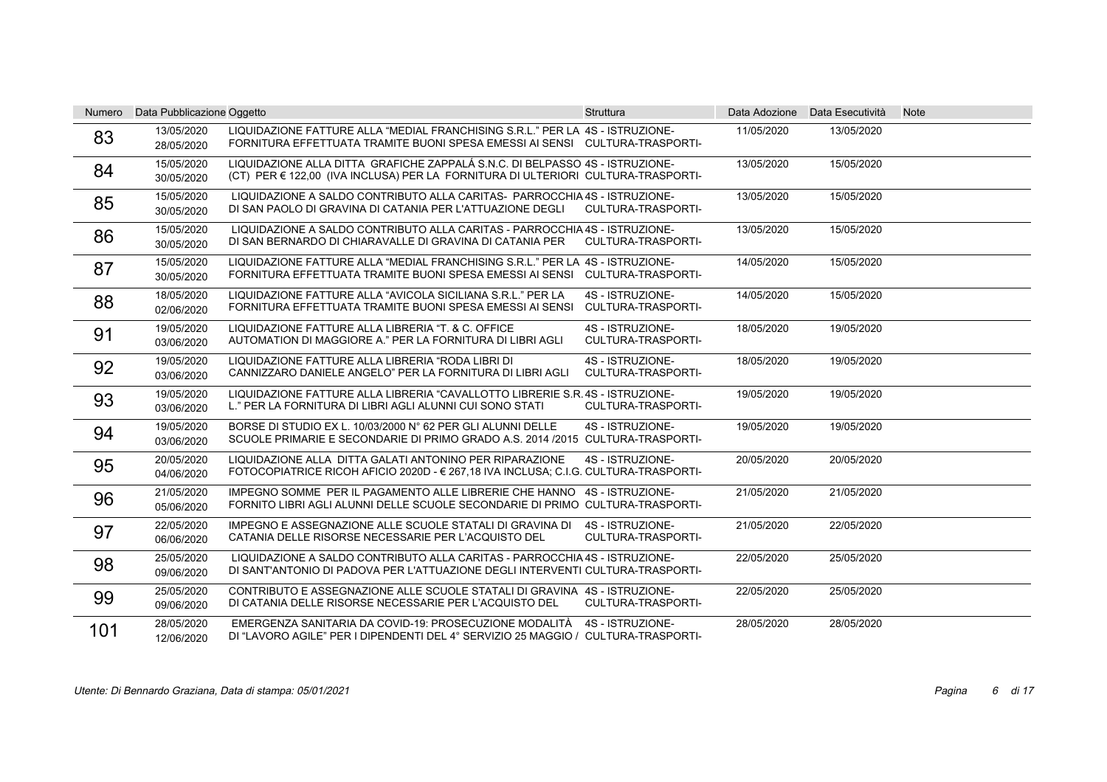| <b>Numero</b> | Data Pubblicazione Oggetto |                                                                                                                                                                  | <b>Struttura</b>                       |            | Data Adozione Data Esecutività | <b>Note</b> |
|---------------|----------------------------|------------------------------------------------------------------------------------------------------------------------------------------------------------------|----------------------------------------|------------|--------------------------------|-------------|
| 83            | 13/05/2020<br>28/05/2020   | LIQUIDAZIONE FATTURE ALLA "MEDIAL FRANCHISING S.R.L." PER LA 4S - ISTRUZIONE-<br>FORNITURA EFFETTUATA TRAMITE BUONI SPESA EMESSI AI SENSI CULTURA-TRASPORTI-     |                                        | 11/05/2020 | 13/05/2020                     |             |
| 84            | 15/05/2020<br>30/05/2020   | LIQUIDAZIONE ALLA DITTA GRAFICHE ZAPPALÁ S.N.C. DI BELPASSO 4S - ISTRUZIONE-<br>(CT) PER € 122.00 (IVA INCLUSA) PER LA FORNITURA DI ULTERIORI CULTURA-TRASPORTI- |                                        | 13/05/2020 | 15/05/2020                     |             |
| 85            | 15/05/2020<br>30/05/2020   | LIQUIDAZIONE A SALDO CONTRIBUTO ALLA CARITAS- PARROCCHIA 4S - ISTRUZIONE-<br>DI SAN PAOLO DI GRAVINA DI CATANIA PER L'ATTUAZIONE DEGLI                           | CULTURA-TRASPORTI-                     | 13/05/2020 | 15/05/2020                     |             |
| 86            | 15/05/2020<br>30/05/2020   | LIQUIDAZIONE A SALDO CONTRIBUTO ALLA CARITAS - PARROCCHIA 4S - ISTRUZIONE-<br>DI SAN BERNARDO DI CHIARAVALLE DI GRAVINA DI CATANIA PER                           | <b>CULTURA-TRASPORTI-</b>              | 13/05/2020 | 15/05/2020                     |             |
| 87            | 15/05/2020<br>30/05/2020   | LIQUIDAZIONE FATTURE ALLA "MEDIAL FRANCHISING S.R.L." PER LA 4S - ISTRUZIONE-<br>FORNITURA EFFETTUATA TRAMITE BUONI SPESA EMESSI AI SENSI CULTURA-TRASPORTI-     |                                        | 14/05/2020 | 15/05/2020                     |             |
| 88            | 18/05/2020<br>02/06/2020   | LIQUIDAZIONE FATTURE ALLA "AVICOLA SICILIANA S.R.L." PER LA<br>FORNITURA EFFETTUATA TRAMITE BUONI SPESA EMESSI AI SENSI CULTURA-TRASPORTI-                       | 4S - ISTRUZIONE-                       | 14/05/2020 | 15/05/2020                     |             |
| 91            | 19/05/2020<br>03/06/2020   | LIQUIDAZIONE FATTURE ALLA LIBRERIA "T. & C. OFFICE<br>AUTOMATION DI MAGGIORE A." PER LA FORNITURA DI LIBRI AGLI                                                  | 4S - ISTRUZIONE-<br>CULTURA-TRASPORTI- | 18/05/2020 | 19/05/2020                     |             |
| 92            | 19/05/2020<br>03/06/2020   | LIQUIDAZIONE FATTURE ALLA LIBRERIA "RODA LIBRI DI<br>CANNIZZARO DANIELE ANGELO" PER LA FORNITURA DI LIBRI AGLI                                                   | 4S - ISTRUZIONE-<br>CULTURA-TRASPORTI- | 18/05/2020 | 19/05/2020                     |             |
| 93            | 19/05/2020<br>03/06/2020   | LIQUIDAZIONE FATTURE ALLA LIBRERIA "CAVALLOTTO LIBRERIE S.R. 4S - ISTRUZIONE-<br>L." PER LA FORNITURA DI LIBRI AGLI ALUNNI CUI SONO STATI                        | CULTURA-TRASPORTI-                     | 19/05/2020 | 19/05/2020                     |             |
| 94            | 19/05/2020<br>03/06/2020   | BORSE DI STUDIO EX L. 10/03/2000 N° 62 PER GLI ALUNNI DELLE<br>SCUOLE PRIMARIE E SECONDARIE DI PRIMO GRADO A.S. 2014 /2015 CULTURA-TRASPORTI-                    | 4S - ISTRUZIONE-                       | 19/05/2020 | 19/05/2020                     |             |
| 95            | 20/05/2020<br>04/06/2020   | LIQUIDAZIONE ALLA DITTA GALATI ANTONINO PER RIPARAZIONE<br>FOTOCOPIATRICE RICOH AFICIO 2020D - € 267,18 IVA INCLUSA; C.I.G. CULTURA-TRASPORTI-                   | 4S - ISTRUZIONE-                       | 20/05/2020 | 20/05/2020                     |             |
| 96            | 21/05/2020<br>05/06/2020   | IMPEGNO SOMME PER IL PAGAMENTO ALLE LIBRERIE CHE HANNO 4S - ISTRUZIONE-<br>FORNITO LIBRI AGLI ALUNNI DELLE SCUOLE SECONDARIE DI PRIMO CULTURA-TRASPORTI-         |                                        | 21/05/2020 | 21/05/2020                     |             |
| 97            | 22/05/2020<br>06/06/2020   | IMPEGNO E ASSEGNAZIONE ALLE SCUOLE STATALI DI GRAVINA DI<br>CATANIA DELLE RISORSE NECESSARIE PER L'ACQUISTO DEL                                                  | 4S - ISTRUZIONE-<br>CULTURA-TRASPORTI- | 21/05/2020 | 22/05/2020                     |             |
| 98            | 25/05/2020<br>09/06/2020   | LIQUIDAZIONE A SALDO CONTRIBUTO ALLA CARITAS - PARROCCHIA 4S - ISTRUZIONE-<br>DI SANT'ANTONIO DI PADOVA PER L'ATTUAZIONE DEGLI INTERVENTI CULTURA-TRASPORTI-     |                                        | 22/05/2020 | 25/05/2020                     |             |
| 99            | 25/05/2020<br>09/06/2020   | CONTRIBUTO E ASSEGNAZIONE ALLE SCUOLE STATALI DI GRAVINA 4S - ISTRUZIONE-<br>DI CATANIA DELLE RISORSE NECESSARIE PER L'ACQUISTO DEL                              | CULTURA-TRASPORTI-                     | 22/05/2020 | 25/05/2020                     |             |
| 101           | 28/05/2020<br>12/06/2020   | EMERGENZA SANITARIA DA COVID-19: PROSECUZIONE MODALITÀ<br>DI "LAVORO AGILE" PER I DIPENDENTI DEL 4° SERVIZIO 25 MAGGIO / CULTURA-TRASPORTI-                      | 4S - ISTRUZIONE-                       | 28/05/2020 | 28/05/2020                     |             |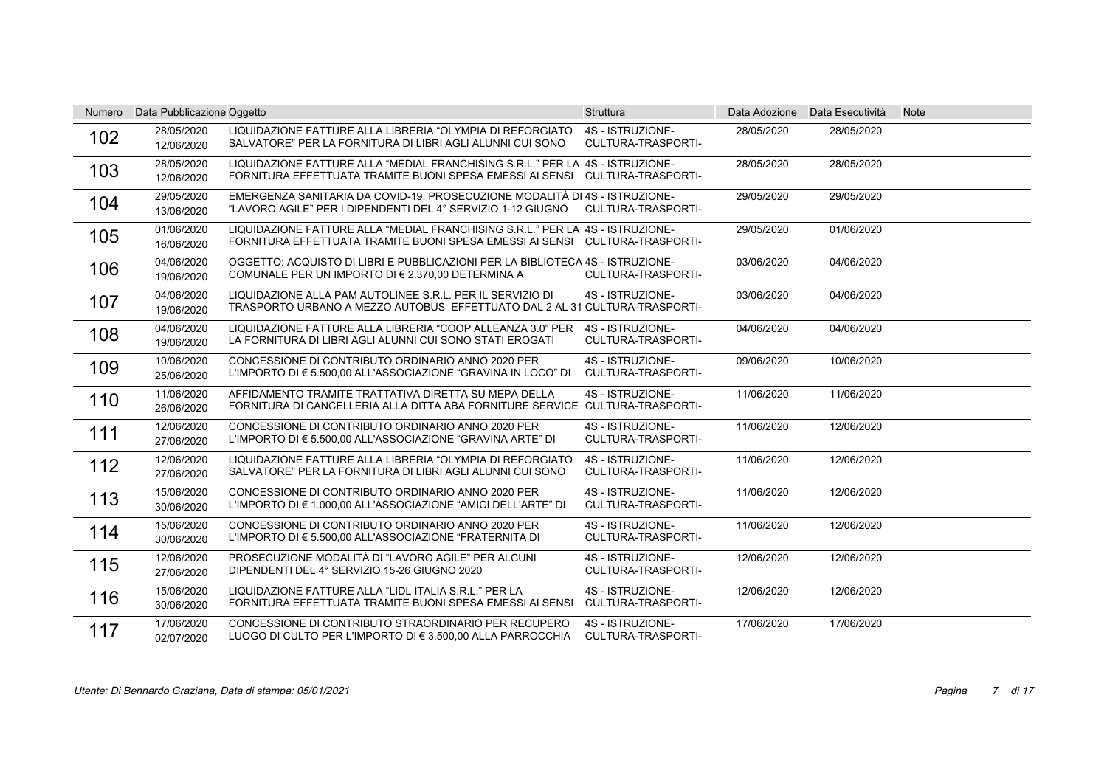| <b>Numero</b> | Data Pubblicazione Oggetto |                                                                                                                                                              | <b>Struttura</b>                              |            | Data Adozione Data Esecutività | <b>Note</b> |
|---------------|----------------------------|--------------------------------------------------------------------------------------------------------------------------------------------------------------|-----------------------------------------------|------------|--------------------------------|-------------|
| 102           | 28/05/2020<br>12/06/2020   | LIQUIDAZIONE FATTURE ALLA LIBRERIA "OLYMPIA DI REFORGIATO<br>SALVATORE" PER LA FORNITURA DI LIBRI AGLI ALUNNI CUI SONO                                       | 4S - ISTRUZIONE-<br>CULTURA-TRASPORTI-        | 28/05/2020 | 28/05/2020                     |             |
| 103           | 28/05/2020<br>12/06/2020   | LIQUIDAZIONE FATTURE ALLA "MEDIAL FRANCHISING S.R.L." PER LA 4S - ISTRUZIONE-<br>FORNITURA EFFETTUATA TRAMITE BUONI SPESA EMESSI AI SENSI CULTURA-TRASPORTI- |                                               | 28/05/2020 | 28/05/2020                     |             |
| 104           | 29/05/2020<br>13/06/2020   | EMERGENZA SANITARIA DA COVID-19: PROSECUZIONE MODALITÀ DI 4S - ISTRUZIONE-<br>"LAVORO AGILE" PER I DIPENDENTI DEL 4° SERVIZIO 1-12 GIUGNO                    | CULTURA-TRASPORTI-                            | 29/05/2020 | 29/05/2020                     |             |
| 105           | 01/06/2020<br>16/06/2020   | LIQUIDAZIONE FATTURE ALLA "MEDIAL FRANCHISING S.R.L." PER LA 4S - ISTRUZIONE-<br>FORNITURA EFFETTUATA TRAMITE BUONI SPESA EMESSI AI SENSI CULTURA-TRASPORTI- |                                               | 29/05/2020 | 01/06/2020                     |             |
| 106           | 04/06/2020<br>19/06/2020   | OGGETTO: ACQUISTO DI LIBRI E PUBBLICAZIONI PER LA BIBLIOTECA 4S - ISTRUZIONE-<br>COMUNALE PER UN IMPORTO DI € 2.370,00 DETERMINA A                           | CULTURA-TRASPORTI-                            | 03/06/2020 | 04/06/2020                     |             |
| 107           | 04/06/2020<br>19/06/2020   | LIQUIDAZIONE ALLA PAM AUTOLINEE S.R.L. PER IL SERVIZIO DI<br>TRASPORTO URBANO A MEZZO AUTOBUS EFFETTUATO DAL 2 AL 31 CULTURA-TRASPORTI-                      | 4S - ISTRUZIONE-                              | 03/06/2020 | 04/06/2020                     |             |
| 108           | 04/06/2020<br>19/06/2020   | LIQUIDAZIONE FATTURE ALLA LIBRERIA "COOP ALLEANZA 3.0" PER<br>LA FORNITURA DI LIBRI AGLI ALUNNI CUI SONO STATI EROGATI                                       | 4S - ISTRUZIONE-<br>CULTURA-TRASPORTI-        | 04/06/2020 | 04/06/2020                     |             |
| 109           | 10/06/2020<br>25/06/2020   | CONCESSIONE DI CONTRIBUTO ORDINARIO ANNO 2020 PER<br>L'IMPORTO DI € 5.500,00 ALL'ASSOCIAZIONE "GRAVINA IN LOCO" DI                                           | 4S - ISTRUZIONE-<br>CULTURA-TRASPORTI-        | 09/06/2020 | 10/06/2020                     |             |
| 110           | 11/06/2020<br>26/06/2020   | AFFIDAMENTO TRAMITE TRATTATIVA DIRETTA SU MEPA DELLA<br>FORNITURA DI CANCELLERIA ALLA DITTA ABA FORNITURE SERVICE CULTURA-TRASPORTI-                         | 4S - ISTRUZIONE-                              | 11/06/2020 | 11/06/2020                     |             |
| 111           | 12/06/2020<br>27/06/2020   | CONCESSIONE DI CONTRIBUTO ORDINARIO ANNO 2020 PER<br>L'IMPORTO DI € 5.500,00 ALL'ASSOCIAZIONE "GRAVINA ARTE" DI                                              | 4S - ISTRUZIONE-<br>CULTURA-TRASPORTI-        | 11/06/2020 | 12/06/2020                     |             |
| 112           | 12/06/2020<br>27/06/2020   | LIQUIDAZIONE FATTURE ALLA LIBRERIA "OLYMPIA DI REFORGIATO<br>SALVATORE" PER LA FORNITURA DI LIBRI AGLI ALUNNI CUI SONO                                       | 4S - ISTRUZIONE-<br>CULTURA-TRASPORTI-        | 11/06/2020 | 12/06/2020                     |             |
| 113           | 15/06/2020<br>30/06/2020   | CONCESSIONE DI CONTRIBUTO ORDINARIO ANNO 2020 PER<br>L'IMPORTO DI € 1.000,00 ALL'ASSOCIAZIONE "AMICI DELL'ARTE" DI                                           | 4S - ISTRUZIONE-<br><b>CULTURA-TRASPORTI-</b> | 11/06/2020 | 12/06/2020                     |             |
| 114           | 15/06/2020<br>30/06/2020   | CONCESSIONE DI CONTRIBUTO ORDINARIO ANNO 2020 PER<br>L'IMPORTO DI € 5.500,00 ALL'ASSOCIAZIONE "FRATERNITA DI                                                 | 4S - ISTRUZIONE-<br><b>CULTURA-TRASPORTI-</b> | 11/06/2020 | 12/06/2020                     |             |
| 115           | 12/06/2020<br>27/06/2020   | PROSECUZIONE MODALITÀ DI "LAVORO AGILE" PER ALCUNI<br>DIPENDENTI DEL 4° SERVIZIO 15-26 GIUGNO 2020                                                           | 4S - ISTRUZIONE-<br><b>CULTURA-TRASPORTI-</b> | 12/06/2020 | 12/06/2020                     |             |
| 116           | 15/06/2020<br>30/06/2020   | LIQUIDAZIONE FATTURE ALLA "LIDL ITALIA S.R.L." PER LA<br>FORNITURA EFFETTUATA TRAMITE BUONI SPESA EMESSI AI SENSI                                            | 4S - ISTRUZIONE-<br>CULTURA-TRASPORTI-        | 12/06/2020 | 12/06/2020                     |             |
| 117           | 17/06/2020<br>02/07/2020   | CONCESSIONE DI CONTRIBUTO STRAORDINARIO PER RECUPERO<br>LUOGO DI CULTO PER L'IMPORTO DI € 3.500,00 ALLA PARROCCHIA                                           | 4S - ISTRUZIONE-<br>CULTURA-TRASPORTI-        | 17/06/2020 | 17/06/2020                     |             |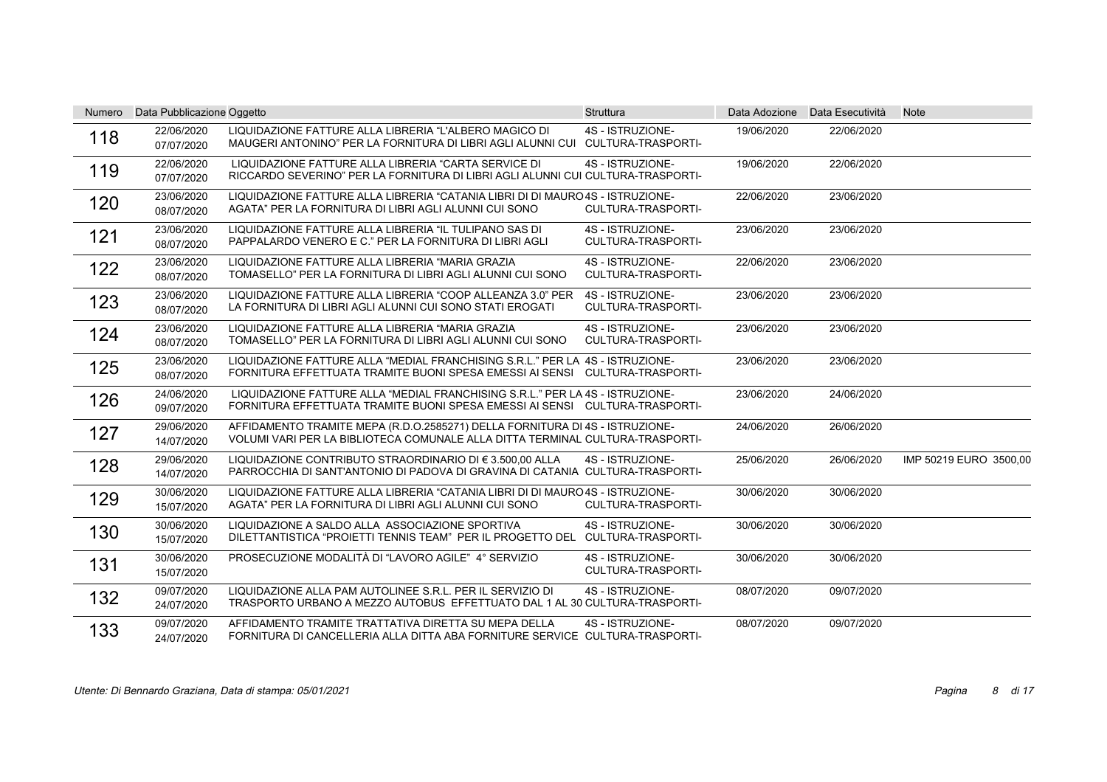| Numero | Data Pubblicazione Oggetto |                                                                                                                                                               | <b>Struttura</b>                              |            | Data Adozione Data Esecutività | <b>Note</b>            |
|--------|----------------------------|---------------------------------------------------------------------------------------------------------------------------------------------------------------|-----------------------------------------------|------------|--------------------------------|------------------------|
| 118    | 22/06/2020<br>07/07/2020   | LIQUIDAZIONE FATTURE ALLA LIBRERIA "L'ALBERO MAGICO DI<br>MAUGERI ANTONINO" PER LA FORNITURA DI LIBRI AGLI ALUNNI CUI CULTURA-TRASPORTI-                      | 4S - ISTRUZIONE-                              | 19/06/2020 | 22/06/2020                     |                        |
| 119    | 22/06/2020<br>07/07/2020   | LIQUIDAZIONE FATTURE ALLA LIBRERIA "CARTA SERVICE DI<br>RICCARDO SEVERINO" PER LA FORNITURA DI LIBRI AGLI ALUNNI CUI CULTURA-TRASPORTI-                       | 4S - ISTRUZIONE-                              | 19/06/2020 | 22/06/2020                     |                        |
| 120    | 23/06/2020<br>08/07/2020   | LIQUIDAZIONE FATTURE ALLA LIBRERIA "CATANIA LIBRI DI DI MAURO 4S - ISTRUZIONE-<br>AGATA" PER LA FORNITURA DI LIBRI AGLI ALUNNI CUI SONO                       | CULTURA-TRASPORTI-                            | 22/06/2020 | 23/06/2020                     |                        |
| 121    | 23/06/2020<br>08/07/2020   | LIQUIDAZIONE FATTURE ALLA LIBRERIA "IL TULIPANO SAS DI<br>PAPPALARDO VENERO E C." PER LA FORNITURA DI LIBRI AGLI                                              | 4S - ISTRUZIONE-<br><b>CULTURA-TRASPORTI-</b> | 23/06/2020 | 23/06/2020                     |                        |
| 122    | 23/06/2020<br>08/07/2020   | LIQUIDAZIONE FATTURE ALLA LIBRERIA "MARIA GRAZIA<br>TOMASELLO" PER LA FORNITURA DI LIBRI AGLI ALUNNI CUI SONO                                                 | 4S - ISTRUZIONE-<br><b>CULTURA-TRASPORTI-</b> | 22/06/2020 | 23/06/2020                     |                        |
| 123    | 23/06/2020<br>08/07/2020   | LIQUIDAZIONE FATTURE ALLA LIBRERIA "COOP ALLEANZA 3.0" PER<br>LA FORNITURA DI LIBRI AGLI ALUNNI CUI SONO STATI EROGATI                                        | 4S - ISTRUZIONE-<br>CULTURA-TRASPORTI-        | 23/06/2020 | 23/06/2020                     |                        |
| 124    | 23/06/2020<br>08/07/2020   | LIQUIDAZIONE FATTURE ALLA LIBRERIA "MARIA GRAZIA<br>TOMASELLO" PER LA FORNITURA DI LIBRI AGLI ALUNNI CUI SONO                                                 | 4S - ISTRUZIONE-<br><b>CULTURA-TRASPORTI-</b> | 23/06/2020 | 23/06/2020                     |                        |
| 125    | 23/06/2020<br>08/07/2020   | LIQUIDAZIONE FATTURE ALLA "MEDIAL FRANCHISING S.R.L." PER LA 4S - ISTRUZIONE-<br>FORNITURA EFFETTUATA TRAMITE BUONI SPESA EMESSI AI SENSI CULTURA-TRASPORTI-  |                                               | 23/06/2020 | 23/06/2020                     |                        |
| 126    | 24/06/2020<br>09/07/2020   | LIQUIDAZIONE FATTURE ALLA "MEDIAL FRANCHISING S.R.L." PER LA 4S - ISTRUZIONE-<br>FORNITURA EFFETTUATA TRAMITE BUONI SPESA EMESSI AI SENSI CULTURA-TRASPORTI-  |                                               | 23/06/2020 | 24/06/2020                     |                        |
| 127    | 29/06/2020<br>14/07/2020   | AFFIDAMENTO TRAMITE MEPA (R.D.O.2585271) DELLA FORNITURA DI 4S - ISTRUZIONE-<br>VOLUMI VARI PER LA BIBLIOTECA COMUNALE ALLA DITTA TERMINAL CULTURA-TRASPORTI- |                                               | 24/06/2020 | 26/06/2020                     |                        |
| 128    | 29/06/2020<br>14/07/2020   | LIQUIDAZIONE CONTRIBUTO STRAORDINARIO DI € 3.500.00 ALLA<br>PARROCCHIA DI SANT'ANTONIO DI PADOVA DI GRAVINA DI CATANIA CULTURA-TRASPORTI-                     | 4S - ISTRUZIONE-                              | 25/06/2020 | 26/06/2020                     | IMP 50219 EURO 3500,00 |
| 129    | 30/06/2020<br>15/07/2020   | LIQUIDAZIONE FATTURE ALLA LIBRERIA "CATANIA LIBRI DI DI MAURO 4S - ISTRUZIONE-<br>AGATA" PER LA FORNITURA DI LIBRI AGLI ALUNNI CUI SONO                       | CULTURA-TRASPORTI-                            | 30/06/2020 | 30/06/2020                     |                        |
| 130    | 30/06/2020<br>15/07/2020   | LIQUIDAZIONE A SALDO ALLA ASSOCIAZIONE SPORTIVA<br>DILETTANTISTICA "PROIETTI TENNIS TEAM" PER IL PROGETTO DEL CULTURA-TRASPORTI-                              | 4S - ISTRUZIONE-                              | 30/06/2020 | 30/06/2020                     |                        |
| 131    | 30/06/2020<br>15/07/2020   | PROSECUZIONE MODALITÀ DI "LAVORO AGILE" 4° SERVIZIO                                                                                                           | 4S - ISTRUZIONE-<br><b>CULTURA-TRASPORTI-</b> | 30/06/2020 | 30/06/2020                     |                        |
| 132    | 09/07/2020<br>24/07/2020   | LIQUIDAZIONE ALLA PAM AUTOLINEE S.R.L. PER IL SERVIZIO DI<br>TRASPORTO URBANO A MEZZO AUTOBUS EFFETTUATO DAL 1 AL 30 CULTURA-TRASPORTI-                       | 4S - ISTRUZIONE-                              | 08/07/2020 | 09/07/2020                     |                        |
| 133    | 09/07/2020<br>24/07/2020   | AFFIDAMENTO TRAMITE TRATTATIVA DIRETTA SU MEPA DELLA<br>FORNITURA DI CANCELLERIA ALLA DITTA ABA FORNITURE SERVICE CULTURA-TRASPORTI-                          | 4S - ISTRUZIONE-                              | 08/07/2020 | 09/07/2020                     |                        |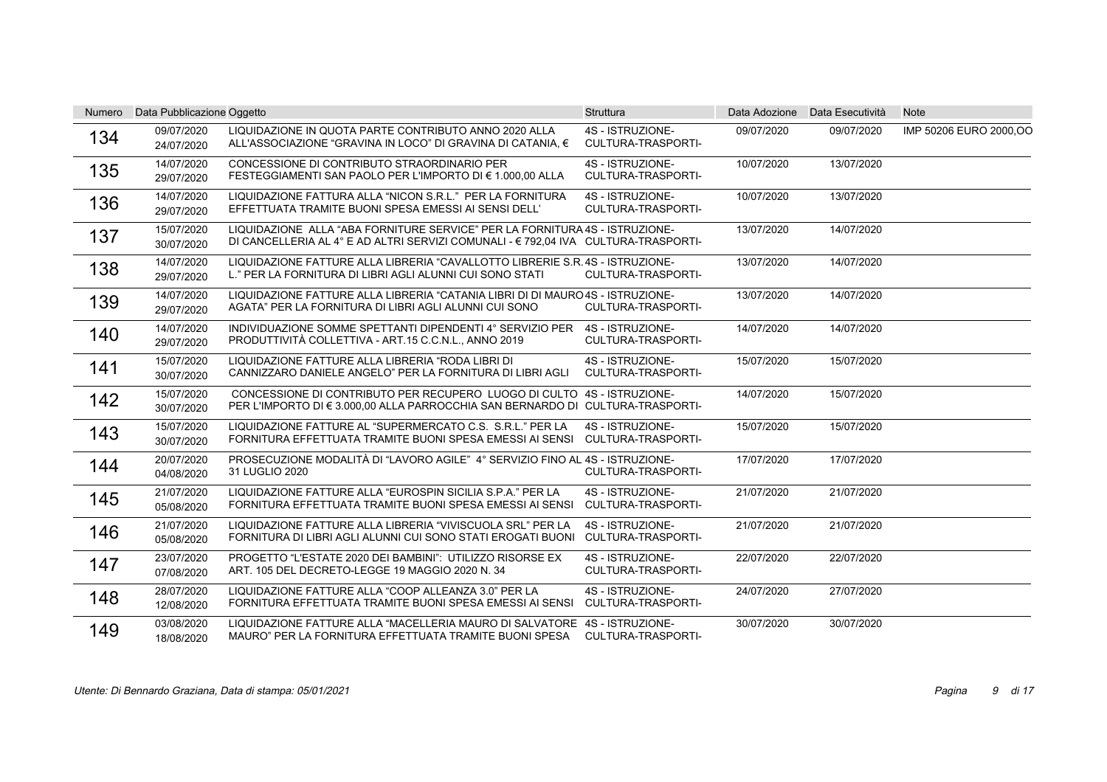| Numero | Data Pubblicazione Oggetto |                                                                                                                                                                   | Struttura                                     | Data Adozione | Data Esecutività | <b>Note</b>             |
|--------|----------------------------|-------------------------------------------------------------------------------------------------------------------------------------------------------------------|-----------------------------------------------|---------------|------------------|-------------------------|
| 134    | 09/07/2020<br>24/07/2020   | LIQUIDAZIONE IN QUOTA PARTE CONTRIBUTO ANNO 2020 ALLA<br>ALL'ASSOCIAZIONE "GRAVINA IN LOCO" DI GRAVINA DI CATANIA. €                                              | 4S - ISTRUZIONE-<br>CULTURA-TRASPORTI-        | 09/07/2020    | 09/07/2020       | IMP 50206 EURO 2000, OO |
| 135    | 14/07/2020<br>29/07/2020   | CONCESSIONE DI CONTRIBUTO STRAORDINARIO PER<br>FESTEGGIAMENTI SAN PAOLO PER L'IMPORTO DI € 1.000.00 ALLA                                                          | 4S - ISTRUZIONE-<br><b>CULTURA-TRASPORTI-</b> | 10/07/2020    | 13/07/2020       |                         |
| 136    | 14/07/2020<br>29/07/2020   | LIQUIDAZIONE FATTURA ALLA "NICON S.R.L." PER LA FORNITURA<br>EFFETTUATA TRAMITE BUONI SPESA EMESSI AI SENSI DELL'                                                 | 4S - ISTRUZIONE-<br>CULTURA-TRASPORTI-        | 10/07/2020    | 13/07/2020       |                         |
| 137    | 15/07/2020<br>30/07/2020   | LIQUIDAZIONE ALLA "ABA FORNITURE SERVICE" PER LA FORNITURA 4S - ISTRUZIONE-<br>DI CANCELLERIA AL 4° E AD ALTRI SERVIZI COMUNALI - € 792,04 IVA CULTURA-TRASPORTI- |                                               | 13/07/2020    | 14/07/2020       |                         |
| 138    | 14/07/2020<br>29/07/2020   | LIQUIDAZIONE FATTURE ALLA LIBRERIA "CAVALLOTTO LIBRERIE S.R. 4S - ISTRUZIONE-<br>L." PER LA FORNITURA DI LIBRI AGLI ALUNNI CUI SONO STATI                         | CULTURA-TRASPORTI-                            | 13/07/2020    | 14/07/2020       |                         |
| 139    | 14/07/2020<br>29/07/2020   | LIQUIDAZIONE FATTURE ALLA LIBRERIA "CATANIA LIBRI DI DI MAURO 4S - ISTRUZIONE-<br>AGATA" PER LA FORNITURA DI LIBRI AGLI ALUNNI CUI SONO                           | <b>CULTURA-TRASPORTI-</b>                     | 13/07/2020    | 14/07/2020       |                         |
| 140    | 14/07/2020<br>29/07/2020   | INDIVIDUAZIONE SOMME SPETTANTI DIPENDENTI 4° SERVIZIO PER<br>PRODUTTIVITÀ COLLETTIVA - ART.15 C.C.N.L., ANNO 2019                                                 | 4S - ISTRUZIONE-<br><b>CULTURA-TRASPORTI-</b> | 14/07/2020    | 14/07/2020       |                         |
| 141    | 15/07/2020<br>30/07/2020   | LIQUIDAZIONE FATTURE ALLA LIBRERIA "RODA LIBRI DI<br>CANNIZZARO DANIELE ANGELO" PER LA FORNITURA DI LIBRI AGLI                                                    | 4S - ISTRUZIONE-<br>CULTURA-TRASPORTI-        | 15/07/2020    | 15/07/2020       |                         |
| 142    | 15/07/2020<br>30/07/2020   | CONCESSIONE DI CONTRIBUTO PER RECUPERO LUOGO DI CULTO 4S - ISTRUZIONE-<br>PER L'IMPORTO DI € 3.000,00 ALLA PARROCCHIA SAN BERNARDO DI CULTURA-TRASPORTI-          |                                               | 14/07/2020    | 15/07/2020       |                         |
| 143    | 15/07/2020<br>30/07/2020   | LIQUIDAZIONE FATTURE AL "SUPERMERCATO C.S. S.R.L." PER LA<br>FORNITURA EFFETTUATA TRAMITE BUONI SPESA EMESSI AI SENSI                                             | 4S - ISTRUZIONE-<br>CULTURA-TRASPORTI-        | 15/07/2020    | 15/07/2020       |                         |
| 144    | 20/07/2020<br>04/08/2020   | PROSECUZIONE MODALITÀ DI "LAVORO AGILE" 4° SERVIZIO FINO AL 4S - ISTRUZIONE-<br>31 LUGLIO 2020                                                                    | CULTURA-TRASPORTI-                            | 17/07/2020    | 17/07/2020       |                         |
| 145    | 21/07/2020<br>05/08/2020   | LIQUIDAZIONE FATTURE ALLA "EUROSPIN SICILIA S.P.A." PER LA<br>FORNITURA EFFETTUATA TRAMITE BUONI SPESA EMESSI AI SENSI                                            | 4S - ISTRUZIONE-<br><b>CULTURA-TRASPORTI-</b> | 21/07/2020    | 21/07/2020       |                         |
| 146    | 21/07/2020<br>05/08/2020   | LIQUIDAZIONE FATTURE ALLA LIBRERIA "VIVISCUOLA SRL" PER LA<br>FORNITURA DI LIBRI AGLI ALUNNI CUI SONO STATI EROGATI BUONI                                         | 4S - ISTRUZIONE-<br><b>CULTURA-TRASPORTI-</b> | 21/07/2020    | 21/07/2020       |                         |
| 147    | 23/07/2020<br>07/08/2020   | PROGETTO "L'ESTATE 2020 DEI BAMBINI": UTILIZZO RISORSE EX<br>ART. 105 DEL DECRETO-LEGGE 19 MAGGIO 2020 N. 34                                                      | 4S - ISTRUZIONE-<br><b>CULTURA-TRASPORTI-</b> | 22/07/2020    | 22/07/2020       |                         |
| 148    | 28/07/2020<br>12/08/2020   | LIQUIDAZIONE FATTURE ALLA "COOP ALLEANZA 3.0" PER LA<br>FORNITURA EFFETTUATA TRAMITE BUONI SPESA EMESSI AI SENSI                                                  | 4S - ISTRUZIONE-<br>CULTURA-TRASPORTI-        | 24/07/2020    | 27/07/2020       |                         |
| 149    | 03/08/2020<br>18/08/2020   | LIQUIDAZIONE FATTURE ALLA "MACELLERIA MAURO DI SALVATORE 4S - ISTRUZIONE-<br>MAURO" PER LA FORNITURA EFFETTUATA TRAMITE BUONI SPESA                               | CULTURA-TRASPORTI-                            | 30/07/2020    | 30/07/2020       |                         |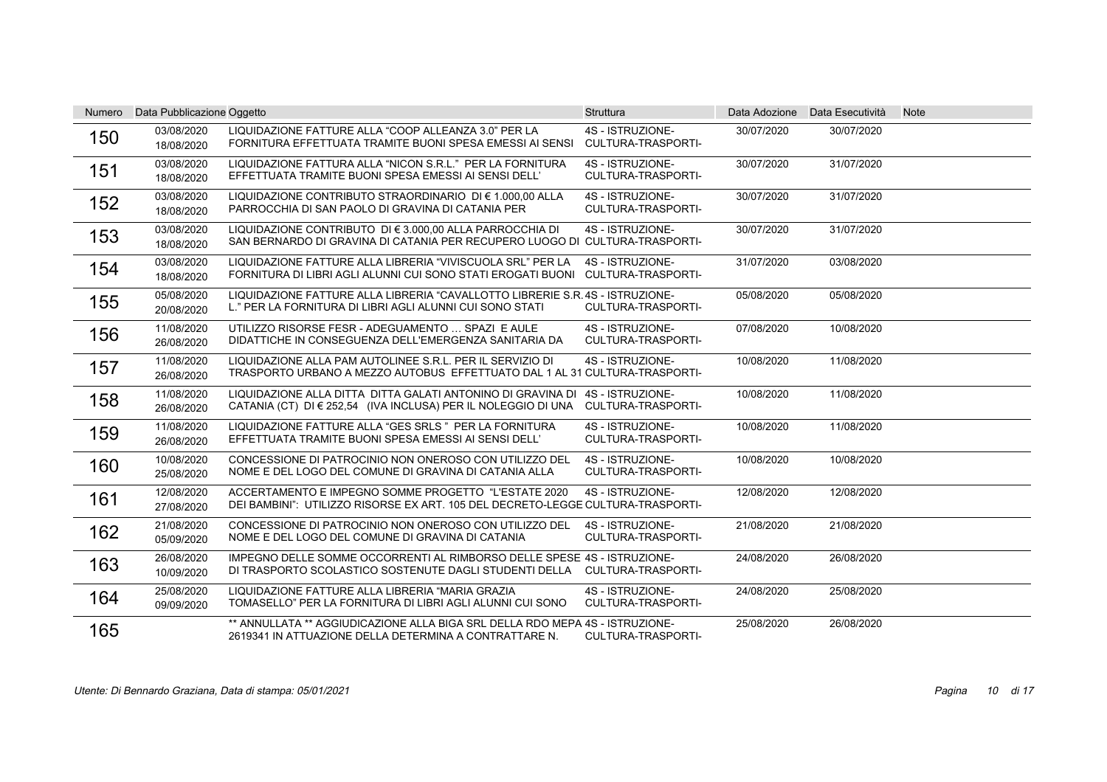| Numero | Data Pubblicazione Oggetto |                                                                                                                                                                  | <b>Struttura</b>                              |            | Data Adozione Data Esecutività | <b>Note</b> |
|--------|----------------------------|------------------------------------------------------------------------------------------------------------------------------------------------------------------|-----------------------------------------------|------------|--------------------------------|-------------|
| 150    | 03/08/2020<br>18/08/2020   | LIQUIDAZIONE FATTURE ALLA "COOP ALLEANZA 3.0" PER LA<br>FORNITURA EFFETTUATA TRAMITE BUONI SPESA EMESSI AI SENSI                                                 | 4S - ISTRUZIONE-<br><b>CULTURA-TRASPORTI-</b> | 30/07/2020 | 30/07/2020                     |             |
| 151    | 03/08/2020<br>18/08/2020   | LIQUIDAZIONE FATTURA ALLA "NICON S.R.L." PER LA FORNITURA<br>EFFETTUATA TRAMITE BUONI SPESA EMESSI AI SENSI DELL'                                                | 4S - ISTRUZIONE-<br><b>CULTURA-TRASPORTI-</b> | 30/07/2020 | 31/07/2020                     |             |
| 152    | 03/08/2020<br>18/08/2020   | LIQUIDAZIONE CONTRIBUTO STRAORDINARIO DI € 1.000,00 ALLA<br>PARROCCHIA DI SAN PAOLO DI GRAVINA DI CATANIA PER                                                    | 4S - ISTRUZIONE-<br>CULTURA-TRASPORTI-        | 30/07/2020 | 31/07/2020                     |             |
| 153    | 03/08/2020<br>18/08/2020   | LIQUIDAZIONE CONTRIBUTO DI € 3.000,00 ALLA PARROCCHIA DI<br>SAN BERNARDO DI GRAVINA DI CATANIA PER RECUPERO LUOGO DI CULTURA-TRASPORTI-                          | 4S - ISTRUZIONE-                              | 30/07/2020 | 31/07/2020                     |             |
| 154    | 03/08/2020<br>18/08/2020   | LIQUIDAZIONE FATTURE ALLA LIBRERIA "VIVISCUOLA SRL" PER LA<br>FORNITURA DI LIBRI AGLI ALUNNI CUI SONO STATI EROGATI BUONI CULTURA-TRASPORTI-                     | 4S - ISTRUZIONE-                              | 31/07/2020 | 03/08/2020                     |             |
| 155    | 05/08/2020<br>20/08/2020   | LIQUIDAZIONE FATTURE ALLA LIBRERIA "CAVALLOTTO LIBRERIE S.R. 4S - ISTRUZIONE-<br>L." PER LA FORNITURA DI LIBRI AGLI ALUNNI CUI SONO STATI                        | <b>CULTURA-TRASPORTI-</b>                     | 05/08/2020 | 05/08/2020                     |             |
| 156    | 11/08/2020<br>26/08/2020   | UTILIZZO RISORSE FESR - ADEGUAMENTO  SPAZI E AULE<br>DIDATTICHE IN CONSEGUENZA DELL'EMERGENZA SANITARIA DA                                                       | 4S - ISTRUZIONE-<br><b>CULTURA-TRASPORTI-</b> | 07/08/2020 | 10/08/2020                     |             |
| 157    | 11/08/2020<br>26/08/2020   | LIQUIDAZIONE ALLA PAM AUTOLINEE S.R.L. PER IL SERVIZIO DI<br>TRASPORTO URBANO A MEZZO AUTOBUS EFFETTUATO DAL 1 AL 31 CULTURA-TRASPORTI-                          | 4S - ISTRUZIONE-                              | 10/08/2020 | 11/08/2020                     |             |
| 158    | 11/08/2020<br>26/08/2020   | LIQUIDAZIONE ALLA DITTA DITTA GALATI ANTONINO DI GRAVINA DI 4S - ISTRUZIONE-<br>CATANIA (CT) DI € 252,54 (IVA INCLUSA) PER IL NOLEGGIO DI UNA CULTURA-TRASPORTI- |                                               | 10/08/2020 | 11/08/2020                     |             |
| 159    | 11/08/2020<br>26/08/2020   | LIQUIDAZIONE FATTURE ALLA "GES SRLS " PER LA FORNITURA<br>EFFETTUATA TRAMITE BUONI SPESA EMESSI AI SENSI DELL'                                                   | 4S - ISTRUZIONE-<br>CULTURA-TRASPORTI-        | 10/08/2020 | 11/08/2020                     |             |
| 160    | 10/08/2020<br>25/08/2020   | CONCESSIONE DI PATROCINIO NON ONEROSO CON UTILIZZO DEL<br>NOME E DEL LOGO DEL COMUNE DI GRAVINA DI CATANIA ALLA                                                  | 4S - ISTRUZIONE-<br><b>CULTURA-TRASPORTI-</b> | 10/08/2020 | 10/08/2020                     |             |
| 161    | 12/08/2020<br>27/08/2020   | ACCERTAMENTO E IMPEGNO SOMME PROGETTO "L'ESTATE 2020<br>DEI BAMBINI": UTILIZZO RISORSE EX ART. 105 DEL DECRETO-LEGGE CULTURA-TRASPORTI-                          | 4S - ISTRUZIONE-                              | 12/08/2020 | 12/08/2020                     |             |
| 162    | 21/08/2020<br>05/09/2020   | CONCESSIONE DI PATROCINIO NON ONEROSO CON UTILIZZO DEL<br>NOME E DEL LOGO DEL COMUNE DI GRAVINA DI CATANIA                                                       | 4S - ISTRUZIONE-<br><b>CULTURA-TRASPORTI-</b> | 21/08/2020 | 21/08/2020                     |             |
| 163    | 26/08/2020<br>10/09/2020   | IMPEGNO DELLE SOMME OCCORRENTI AL RIMBORSO DELLE SPESE 4S - ISTRUZIONE-<br>DI TRASPORTO SCOLASTICO SOSTENUTE DAGLI STUDENTI DELLA CULTURA-TRASPORTI-             |                                               | 24/08/2020 | 26/08/2020                     |             |
| 164    | 25/08/2020<br>09/09/2020   | LIQUIDAZIONE FATTURE ALLA LIBRERIA "MARIA GRAZIA<br>TOMASELLO" PER LA FORNITURA DI LIBRI AGLI ALUNNI CUI SONO                                                    | 4S - ISTRUZIONE-<br>CULTURA-TRASPORTI-        | 24/08/2020 | 25/08/2020                     |             |
| 165    |                            | ** ANNULLATA ** AGGIUDICAZIONE ALLA BIGA SRL DELLA RDO MEPA 4S - ISTRUZIONE-<br>2619341 IN ATTUAZIONE DELLA DETERMINA A CONTRATTARE N.                           | <b>CULTURA-TRASPORTI-</b>                     | 25/08/2020 | 26/08/2020                     |             |

Utente: Di Bennardo Graziana, Data di stampa: 05/01/2021 Pagina di 17 10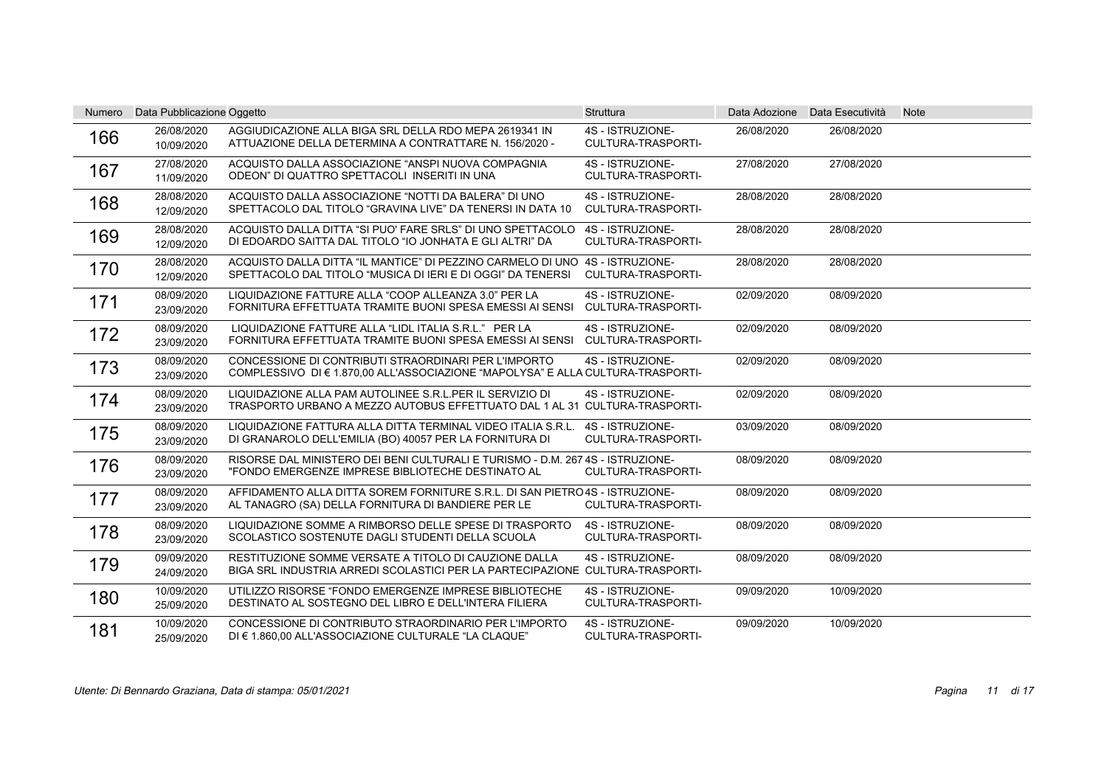| Numero | Data Pubblicazione Oggetto |                                                                                                                                             | <b>Struttura</b>                              |            | Data Adozione Data Esecutività | <b>Note</b> |
|--------|----------------------------|---------------------------------------------------------------------------------------------------------------------------------------------|-----------------------------------------------|------------|--------------------------------|-------------|
| 166    | 26/08/2020<br>10/09/2020   | AGGIUDICAZIONE ALLA BIGA SRL DELLA RDO MEPA 2619341 IN<br>ATTUAZIONE DELLA DETERMINA A CONTRATTARE N. 156/2020 -                            | 4S - ISTRUZIONE-<br>CULTURA-TRASPORTI-        | 26/08/2020 | 26/08/2020                     |             |
| 167    | 27/08/2020<br>11/09/2020   | ACQUISTO DALLA ASSOCIAZIONE "ANSPI NUOVA COMPAGNIA<br>ODEON" DI QUATTRO SPETTACOLI INSERITI IN UNA                                          | 4S - ISTRUZIONE-<br>CULTURA-TRASPORTI-        | 27/08/2020 | 27/08/2020                     |             |
| 168    | 28/08/2020<br>12/09/2020   | ACQUISTO DALLA ASSOCIAZIONE "NOTTI DA BALERA" DI UNO<br>SPETTACOLO DAL TITOLO "GRAVINA LIVE" DA TENERSI IN DATA 10                          | 4S - ISTRUZIONE-<br>CULTURA-TRASPORTI-        | 28/08/2020 | 28/08/2020                     |             |
| 169    | 28/08/2020<br>12/09/2020   | ACQUISTO DALLA DITTA "SI PUO' FARE SRLS" DI UNO SPETTACOLO<br>DI EDOARDO SAITTA DAL TITOLO "IO JONHATA E GLI ALTRI" DA                      | 4S - ISTRUZIONE-<br><b>CULTURA-TRASPORTI-</b> | 28/08/2020 | 28/08/2020                     |             |
| 170    | 28/08/2020<br>12/09/2020   | ACQUISTO DALLA DITTA "IL MANTICE" DI PEZZINO CARMELO DI UNO 4S - ISTRUZIONE-<br>SPETTACOLO DAL TITOLO "MUSICA DI IERI E DI OGGI" DA TENERSI | <b>CULTURA-TRASPORTI-</b>                     | 28/08/2020 | 28/08/2020                     |             |
| 171    | 08/09/2020<br>23/09/2020   | LIQUIDAZIONE FATTURE ALLA "COOP ALLEANZA 3.0" PER LA<br>FORNITURA EFFETTUATA TRAMITE BUONI SPESA EMESSI AI SENSI                            | 4S - ISTRUZIONE-<br><b>CULTURA-TRASPORTI-</b> | 02/09/2020 | 08/09/2020                     |             |
| 172    | 08/09/2020<br>23/09/2020   | LIQUIDAZIONE FATTURE ALLA "LIDL ITALIA S.R.L." PER LA<br>FORNITURA EFFETTUATA TRAMITE BUONI SPESA EMESSI AI SENSI                           | 4S - ISTRUZIONE-<br>CULTURA-TRASPORTI-        | 02/09/2020 | 08/09/2020                     |             |
| 173    | 08/09/2020<br>23/09/2020   | CONCESSIONE DI CONTRIBUTI STRAORDINARI PER L'IMPORTO<br>COMPLESSIVO DI € 1.870,00 ALL'ASSOCIAZIONE "MAPOLYSA" E ALLA CULTURA-TRASPORTI-     | 4S - ISTRUZIONE-                              | 02/09/2020 | 08/09/2020                     |             |
| 174    | 08/09/2020<br>23/09/2020   | LIQUIDAZIONE ALLA PAM AUTOLINEE S.R.L.PER IL SERVIZIO DI<br>TRASPORTO URBANO A MEZZO AUTOBUS EFFETTUATO DAL 1 AL 31 CULTURA-TRASPORTI-      | 4S - ISTRUZIONE-                              | 02/09/2020 | 08/09/2020                     |             |
| 175    | 08/09/2020<br>23/09/2020   | LIQUIDAZIONE FATTURA ALLA DITTA TERMINAL VIDEO ITALIA S.R.L.<br>DI GRANAROLO DELL'EMILIA (BO) 40057 PER LA FORNITURA DI                     | 4S - ISTRUZIONE-<br>CULTURA-TRASPORTI-        | 03/09/2020 | 08/09/2020                     |             |
| 176    | 08/09/2020<br>23/09/2020   | RISORSE DAL MINISTERO DEI BENI CULTURALI E TURISMO - D.M. 267 4S - ISTRUZIONE-<br>"FONDO EMERGENZE IMPRESE BIBLIOTECHE DESTINATO AL         | <b>CULTURA-TRASPORTI-</b>                     | 08/09/2020 | 08/09/2020                     |             |
| 177    | 08/09/2020<br>23/09/2020   | AFFIDAMENTO ALLA DITTA SOREM FORNITURE S.R.L. DI SAN PIETRO 4S - ISTRUZIONE-<br>AL TANAGRO (SA) DELLA FORNITURA DI BANDIERE PER LE          | <b>CULTURA-TRASPORTI-</b>                     | 08/09/2020 | 08/09/2020                     |             |
| 178    | 08/09/2020<br>23/09/2020   | LIQUIDAZIONE SOMME A RIMBORSO DELLE SPESE DI TRASPORTO<br>SCOLASTICO SOSTENUTE DAGLI STUDENTI DELLA SCUOLA                                  | 4S - ISTRUZIONE-<br><b>CULTURA-TRASPORTI-</b> | 08/09/2020 | 08/09/2020                     |             |
| 179    | 09/09/2020<br>24/09/2020   | RESTITUZIONE SOMME VERSATE A TITOLO DI CAUZIONE DALLA<br>BIGA SRL INDUSTRIA ARREDI SCOLASTICI PER LA PARTECIPAZIONE CULTURA-TRASPORTI-      | 4S - ISTRUZIONE-                              | 08/09/2020 | 08/09/2020                     |             |
| 180    | 10/09/2020<br>25/09/2020   | UTILIZZO RISORSE "FONDO EMERGENZE IMPRESE BIBLIOTECHE<br>DESTINATO AL SOSTEGNO DEL LIBRO E DELL'INTERA FILIERA                              | 4S - ISTRUZIONE-<br>CULTURA-TRASPORTI-        | 09/09/2020 | 10/09/2020                     |             |
| 181    | 10/09/2020<br>25/09/2020   | CONCESSIONE DI CONTRIBUTO STRAORDINARIO PER L'IMPORTO<br>DI € 1.860,00 ALL'ASSOCIAZIONE CULTURALE "LA CLAQUE"                               | 4S - ISTRUZIONE-<br>CULTURA-TRASPORTI-        | 09/09/2020 | 10/09/2020                     |             |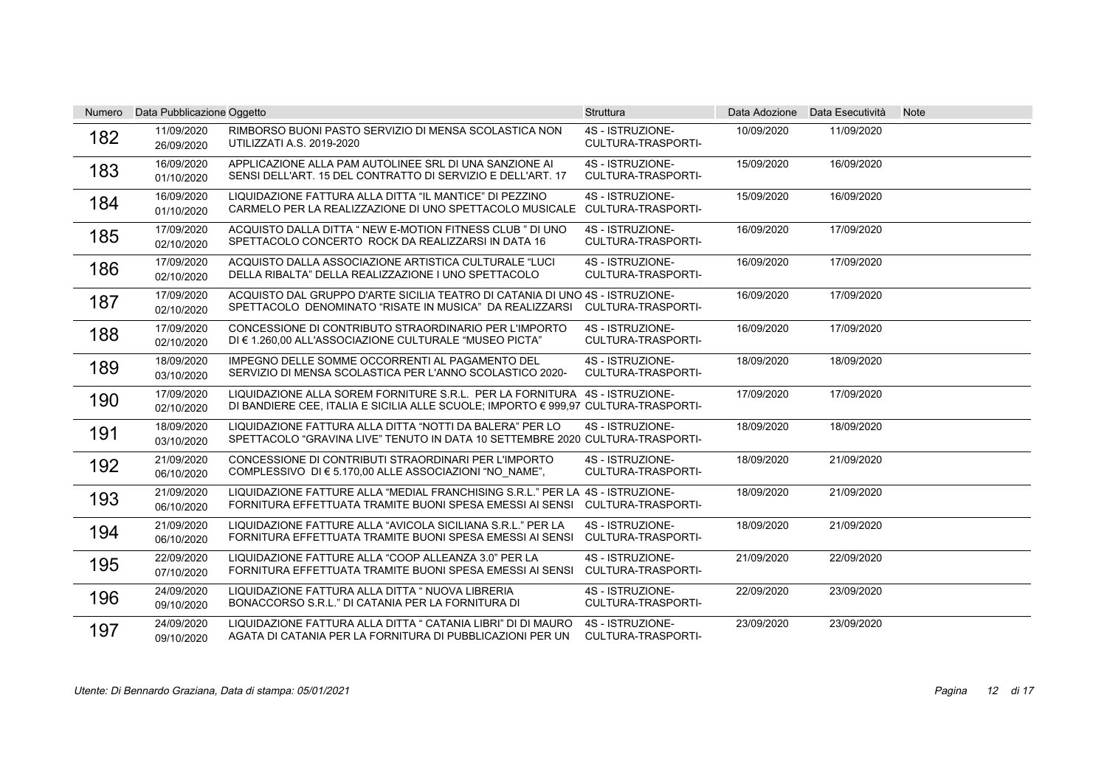| Numero | Data Pubblicazione Oggetto |                                                                                                                                                                  | <b>Struttura</b>                              |            | Data Adozione Data Esecutività | <b>Note</b> |
|--------|----------------------------|------------------------------------------------------------------------------------------------------------------------------------------------------------------|-----------------------------------------------|------------|--------------------------------|-------------|
| 182    | 11/09/2020<br>26/09/2020   | RIMBORSO BUONI PASTO SERVIZIO DI MENSA SCOLASTICA NON<br><b>UTILIZZATI A.S. 2019-2020</b>                                                                        | 4S - ISTRUZIONE-<br><b>CULTURA-TRASPORTI-</b> | 10/09/2020 | 11/09/2020                     |             |
| 183    | 16/09/2020<br>01/10/2020   | APPLICAZIONE ALLA PAM AUTOLINEE SRL DI UNA SANZIONE AI<br>SENSI DELL'ART. 15 DEL CONTRATTO DI SERVIZIO E DELL'ART. 17                                            | 4S - ISTRUZIONE-<br><b>CULTURA-TRASPORTI-</b> | 15/09/2020 | 16/09/2020                     |             |
| 184    | 16/09/2020<br>01/10/2020   | LIQUIDAZIONE FATTURA ALLA DITTA "IL MANTICE" DI PEZZINO<br>CARMELO PER LA REALIZZAZIONE DI UNO SPETTACOLO MUSICALE CULTURA-TRASPORTI-                            | 4S - ISTRUZIONE-                              | 15/09/2020 | 16/09/2020                     |             |
| 185    | 17/09/2020<br>02/10/2020   | ACQUISTO DALLA DITTA " NEW E-MOTION FITNESS CLUB " DI UNO<br>SPETTACOLO CONCERTO ROCK DA REALIZZARSI IN DATA 16                                                  | 4S - ISTRUZIONE-<br><b>CULTURA-TRASPORTI-</b> | 16/09/2020 | 17/09/2020                     |             |
| 186    | 17/09/2020<br>02/10/2020   | ACQUISTO DALLA ASSOCIAZIONE ARTISTICA CULTURALE "LUCI<br>DELLA RIBALTA" DELLA REALIZZAZIONE I UNO SPETTACOLO                                                     | 4S - ISTRUZIONE-<br><b>CULTURA-TRASPORTI-</b> | 16/09/2020 | 17/09/2020                     |             |
| 187    | 17/09/2020<br>02/10/2020   | ACQUISTO DAL GRUPPO D'ARTE SICILIA TEATRO DI CATANIA DI UNO 4S - ISTRUZIONE-<br>SPETTACOLO DENOMINATO "RISATE IN MUSICA" DA REALIZZARSI                          | <b>CULTURA-TRASPORTI-</b>                     | 16/09/2020 | 17/09/2020                     |             |
| 188    | 17/09/2020<br>02/10/2020   | CONCESSIONE DI CONTRIBUTO STRAORDINARIO PER L'IMPORTO<br>DI € 1.260.00 ALL'ASSOCIAZIONE CULTURALE "MUSEO PICTA"                                                  | 4S - ISTRUZIONE-<br>CULTURA-TRASPORTI-        | 16/09/2020 | 17/09/2020                     |             |
| 189    | 18/09/2020<br>03/10/2020   | IMPEGNO DELLE SOMME OCCORRENTI AL PAGAMENTO DEL<br>SERVIZIO DI MENSA SCOLASTICA PER L'ANNO SCOLASTICO 2020-                                                      | 4S - ISTRUZIONE-<br>CULTURA-TRASPORTI-        | 18/09/2020 | 18/09/2020                     |             |
| 190    | 17/09/2020<br>02/10/2020   | LIQUIDAZIONE ALLA SOREM FORNITURE S.R.L. PER LA FORNITURA 4S - ISTRUZIONE-<br>DI BANDIERE CEE, ITALIA E SICILIA ALLE SCUOLE; IMPORTO € 999.97 CULTURA-TRASPORTI- |                                               | 17/09/2020 | 17/09/2020                     |             |
| 191    | 18/09/2020<br>03/10/2020   | LIQUIDAZIONE FATTURA ALLA DITTA "NOTTI DA BALERA" PER LO<br>SPETTACOLO "GRAVINA LIVE" TENUTO IN DATA 10 SETTEMBRE 2020 CULTURA-TRASPORTI-                        | 4S - ISTRUZIONE-                              | 18/09/2020 | 18/09/2020                     |             |
| 192    | 21/09/2020<br>06/10/2020   | CONCESSIONE DI CONTRIBUTI STRAORDINARI PER L'IMPORTO<br>COMPLESSIVO DI € 5.170,00 ALLE ASSOCIAZIONI "NO NAME",                                                   | 4S - ISTRUZIONE-<br><b>CULTURA-TRASPORTI-</b> | 18/09/2020 | 21/09/2020                     |             |
| 193    | 21/09/2020<br>06/10/2020   | LIQUIDAZIONE FATTURE ALLA "MEDIAL FRANCHISING S.R.L." PER LA 4S - ISTRUZIONE-<br>FORNITURA EFFETTUATA TRAMITE BUONI SPESA EMESSI AI SENSI CULTURA-TRASPORTI-     |                                               | 18/09/2020 | 21/09/2020                     |             |
| 194    | 21/09/2020<br>06/10/2020   | LIQUIDAZIONE FATTURE ALLA "AVICOLA SICILIANA S.R.L." PER LA<br>FORNITURA EFFETTUATA TRAMITE BUONI SPESA EMESSI AI SENSI                                          | 4S - ISTRUZIONE-<br>CULTURA-TRASPORTI-        | 18/09/2020 | 21/09/2020                     |             |
| 195    | 22/09/2020<br>07/10/2020   | LIQUIDAZIONE FATTURE ALLA "COOP ALLEANZA 3.0" PER LA<br>FORNITURA EFFETTUATA TRAMITE BUONI SPESA EMESSI AI SENSI                                                 | 4S - ISTRUZIONE-<br>CULTURA-TRASPORTI-        | 21/09/2020 | 22/09/2020                     |             |
| 196    | 24/09/2020<br>09/10/2020   | LIQUIDAZIONE FATTURA ALLA DITTA " NUOVA LIBRERIA<br>BONACCORSO S.R.L." DI CATANIA PER LA FORNITURA DI                                                            | 4S - ISTRUZIONE-<br>CULTURA-TRASPORTI-        | 22/09/2020 | 23/09/2020                     |             |
| 197    | 24/09/2020<br>09/10/2020   | LIQUIDAZIONE FATTURA ALLA DITTA " CATANIA LIBRI" DI DI MAURO<br>AGATA DI CATANIA PER LA FORNITURA DI PUBBLICAZIONI PER UN                                        | 4S - ISTRUZIONE-<br>CULTURA-TRASPORTI-        | 23/09/2020 | 23/09/2020                     |             |

Utente: Di Bennardo Graziana, Data di stampa: 05/01/2021 Pagina di 17 12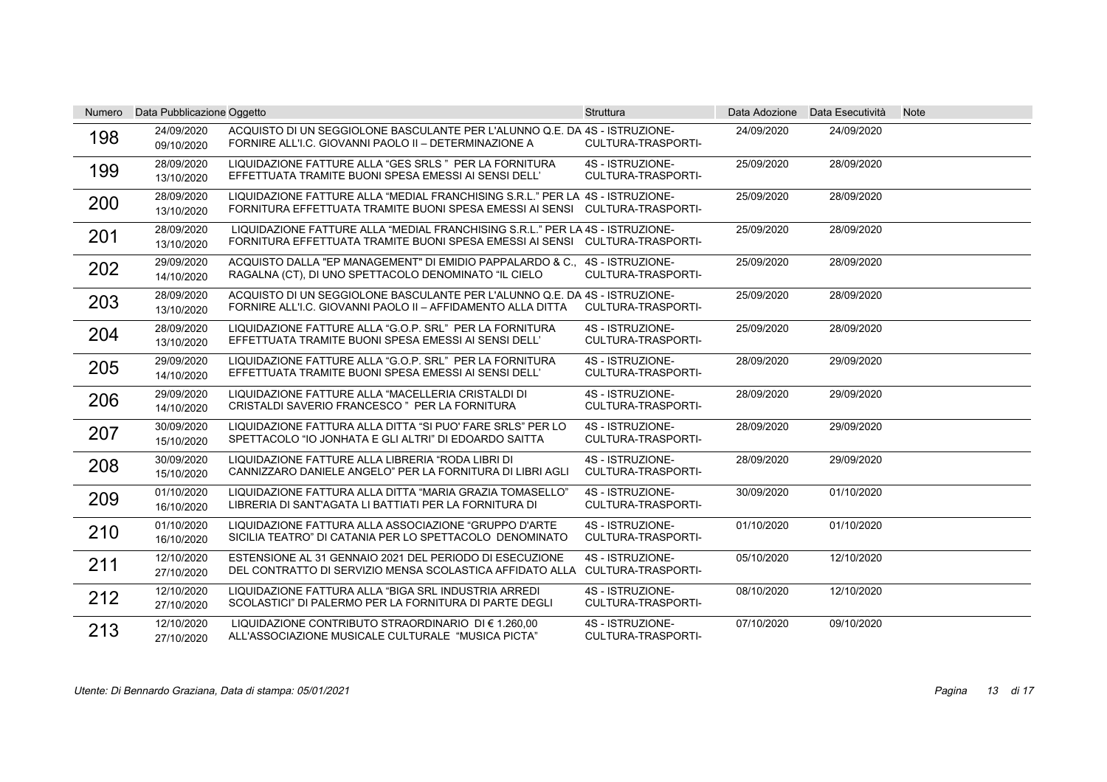| <b>Numero</b> | Data Pubblicazione Oggetto |                                                                                                                                                              | <b>Struttura</b>                              |            | Data Adozione Data Esecutività | <b>Note</b> |
|---------------|----------------------------|--------------------------------------------------------------------------------------------------------------------------------------------------------------|-----------------------------------------------|------------|--------------------------------|-------------|
| 198           | 24/09/2020<br>09/10/2020   | ACQUISTO DI UN SEGGIOLONE BASCULANTE PER L'ALUNNO Q.E. DA 4S - ISTRUZIONE-<br>FORNIRE ALL'I.C. GIOVANNI PAOLO II - DETERMINAZIONE A                          | CULTURA-TRASPORTI-                            | 24/09/2020 | 24/09/2020                     |             |
| 199           | 28/09/2020<br>13/10/2020   | LIQUIDAZIONE FATTURE ALLA "GES SRLS " PER LA FORNITURA<br>EFFETTUATA TRAMITE BUONI SPESA EMESSI AI SENSI DELL'                                               | 4S - ISTRUZIONE-<br><b>CULTURA-TRASPORTI-</b> | 25/09/2020 | 28/09/2020                     |             |
| 200           | 28/09/2020<br>13/10/2020   | LIQUIDAZIONE FATTURE ALLA "MEDIAL FRANCHISING S.R.L." PER LA 4S - ISTRUZIONE-<br>FORNITURA EFFETTUATA TRAMITE BUONI SPESA EMESSI AI SENSI CULTURA-TRASPORTI- |                                               | 25/09/2020 | 28/09/2020                     |             |
| 201           | 28/09/2020<br>13/10/2020   | LIQUIDAZIONE FATTURE ALLA "MEDIAL FRANCHISING S.R.L." PER LA 4S - ISTRUZIONE-<br>FORNITURA EFFETTUATA TRAMITE BUONI SPESA EMESSI AI SENSI CULTURA-TRASPORTI- |                                               | 25/09/2020 | 28/09/2020                     |             |
| 202           | 29/09/2020<br>14/10/2020   | ACQUISTO DALLA "EP MANAGEMENT" DI EMIDIO PAPPALARDO & C<br>RAGALNA (CT), DI UNO SPETTACOLO DENOMINATO "IL CIELO                                              | 4S - ISTRUZIONE-<br>CULTURA-TRASPORTI-        | 25/09/2020 | 28/09/2020                     |             |
| 203           | 28/09/2020<br>13/10/2020   | ACQUISTO DI UN SEGGIOLONE BASCULANTE PER L'ALUNNO Q.E. DA 4S - ISTRUZIONE-<br>FORNIRE ALL'I.C. GIOVANNI PAOLO II – AFFIDAMENTO ALLA DITTA                    | CULTURA-TRASPORTI-                            | 25/09/2020 | 28/09/2020                     |             |
| 204           | 28/09/2020<br>13/10/2020   | LIQUIDAZIONE FATTURE ALLA "G.O.P. SRL" PER LA FORNITURA<br>EFFETTUATA TRAMITE BUONI SPESA EMESSI AI SENSI DELL'                                              | 4S - ISTRUZIONE-<br>CULTURA-TRASPORTI-        | 25/09/2020 | 28/09/2020                     |             |
| 205           | 29/09/2020<br>14/10/2020   | LIQUIDAZIONE FATTURE ALLA "G.O.P. SRL" PER LA FORNITURA<br>EFFETTUATA TRAMITE BUONI SPESA EMESSI AI SENSI DELL'                                              | 4S - ISTRUZIONE-<br>CULTURA-TRASPORTI-        | 28/09/2020 | 29/09/2020                     |             |
| 206           | 29/09/2020<br>14/10/2020   | LIQUIDAZIONE FATTURE ALLA "MACELLERIA CRISTALDI DI<br>CRISTALDI SAVERIO FRANCESCO " PER LA FORNITURA                                                         | 4S - ISTRUZIONE-<br><b>CULTURA-TRASPORTI-</b> | 28/09/2020 | 29/09/2020                     |             |
| 207           | 30/09/2020<br>15/10/2020   | LIQUIDAZIONE FATTURA ALLA DITTA "SI PUO' FARE SRLS" PER LO<br>SPETTACOLO "IO JONHATA E GLI ALTRI" DI EDOARDO SAITTA                                          | 4S - ISTRUZIONE-<br>CULTURA-TRASPORTI-        | 28/09/2020 | 29/09/2020                     |             |
| 208           | 30/09/2020<br>15/10/2020   | LIQUIDAZIONE FATTURE ALLA LIBRERIA "RODA LIBRI DI<br>CANNIZZARO DANIELE ANGELO" PER LA FORNITURA DI LIBRI AGLI                                               | 4S - ISTRUZIONE-<br>CULTURA-TRASPORTI-        | 28/09/2020 | 29/09/2020                     |             |
| 209           | 01/10/2020<br>16/10/2020   | LIQUIDAZIONE FATTURA ALLA DITTA "MARIA GRAZIA TOMASELLO"<br>LIBRERIA DI SANT'AGATA LI BATTIATI PER LA FORNITURA DI                                           | 4S - ISTRUZIONE-<br><b>CULTURA-TRASPORTI-</b> | 30/09/2020 | 01/10/2020                     |             |
| 210           | 01/10/2020<br>16/10/2020   | LIQUIDAZIONE FATTURA ALLA ASSOCIAZIONE "GRUPPO D'ARTE<br>SICILIA TEATRO" DI CATANIA PER LO SPETTACOLO DENOMINATO                                             | 4S - ISTRUZIONE-<br>CULTURA-TRASPORTI-        | 01/10/2020 | 01/10/2020                     |             |
| 211           | 12/10/2020<br>27/10/2020   | ESTENSIONE AL 31 GENNAIO 2021 DEL PERIODO DI ESECUZIONE<br>DEL CONTRATTO DI SERVIZIO MENSA SCOLASTICA AFFIDATO ALLA CULTURA-TRASPORTI-                       | 4S - ISTRUZIONE-                              | 05/10/2020 | 12/10/2020                     |             |
| 212           | 12/10/2020<br>27/10/2020   | LIQUIDAZIONE FATTURA ALLA "BIGA SRL INDUSTRIA ARREDI<br>SCOLASTICI" DI PALERMO PER LA FORNITURA DI PARTE DEGLI                                               | 4S - ISTRUZIONE-<br>CULTURA-TRASPORTI-        | 08/10/2020 | 12/10/2020                     |             |
| 213           | 12/10/2020<br>27/10/2020   | LIQUIDAZIONE CONTRIBUTO STRAORDINARIO DI € 1.260.00<br>ALL'ASSOCIAZIONE MUSICALE CULTURALE "MUSICA PICTA"                                                    | 4S - ISTRUZIONE-<br>CULTURA-TRASPORTI-        | 07/10/2020 | 09/10/2020                     |             |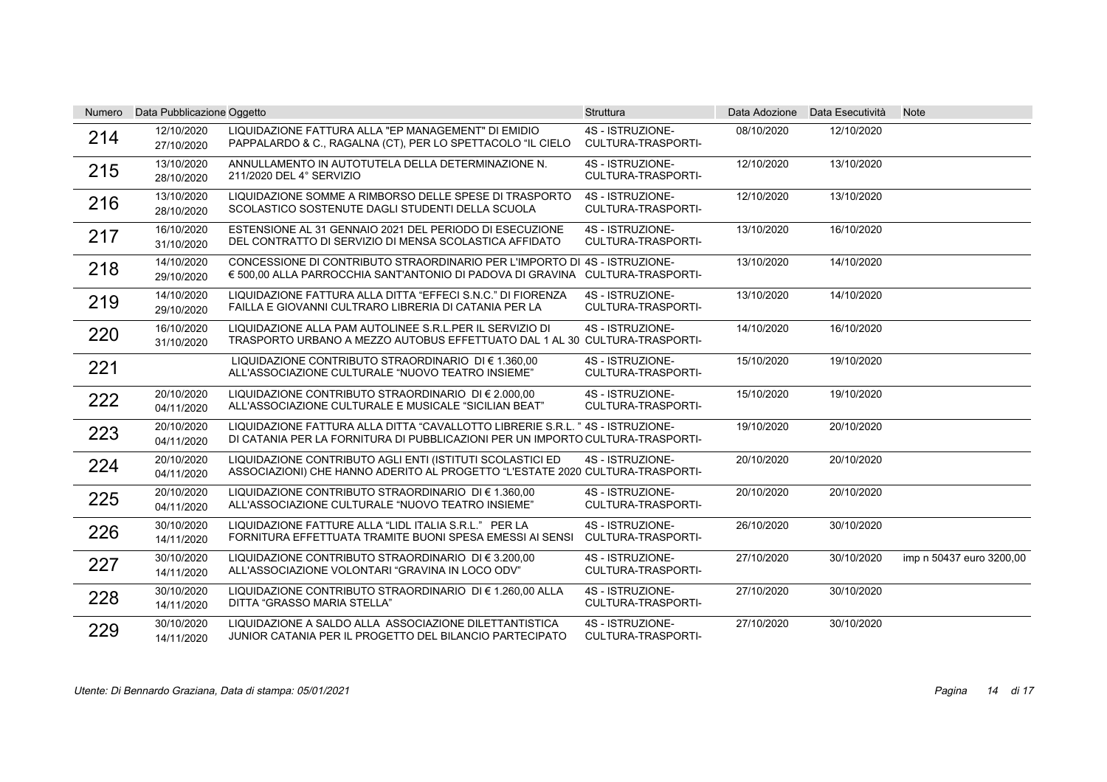| Numero | Data Pubblicazione Oggetto |                                                                                                                                                                 | Struttura                                     |            | Data Adozione Data Esecutività | <b>Note</b>              |
|--------|----------------------------|-----------------------------------------------------------------------------------------------------------------------------------------------------------------|-----------------------------------------------|------------|--------------------------------|--------------------------|
| 214    | 12/10/2020<br>27/10/2020   | LIQUIDAZIONE FATTURA ALLA "EP MANAGEMENT" DI EMIDIO<br>PAPPALARDO & C., RAGALNA (CT), PER LO SPETTACOLO "IL CIELO                                               | 4S - ISTRUZIONE-<br>CULTURA-TRASPORTI-        | 08/10/2020 | 12/10/2020                     |                          |
| 215    | 13/10/2020<br>28/10/2020   | ANNULLAMENTO IN AUTOTUTELA DELLA DETERMINAZIONE N.<br>211/2020 DEL 4° SERVIZIO                                                                                  | 4S - ISTRUZIONE-<br>CULTURA-TRASPORTI-        | 12/10/2020 | 13/10/2020                     |                          |
| 216    | 13/10/2020<br>28/10/2020   | LIQUIDAZIONE SOMME A RIMBORSO DELLE SPESE DI TRASPORTO<br>SCOLASTICO SOSTENUTE DAGLI STUDENTI DELLA SCUOLA                                                      | 4S - ISTRUZIONE-<br>CULTURA-TRASPORTI-        | 12/10/2020 | 13/10/2020                     |                          |
| 217    | 16/10/2020<br>31/10/2020   | ESTENSIONE AL 31 GENNAIO 2021 DEL PERIODO DI ESECUZIONE<br>DEL CONTRATTO DI SERVIZIO DI MENSA SCOLASTICA AFFIDATO                                               | 4S - ISTRUZIONE-<br><b>CULTURA-TRASPORTI-</b> | 13/10/2020 | 16/10/2020                     |                          |
| 218    | 14/10/2020<br>29/10/2020   | CONCESSIONE DI CONTRIBUTO STRAORDINARIO PER L'IMPORTO DI 4S - ISTRUZIONE-<br>€ 500,00 ALLA PARROCCHIA SANT'ANTONIO DI PADOVA DI GRAVINA CULTURA-TRASPORTI-      |                                               | 13/10/2020 | 14/10/2020                     |                          |
| 219    | 14/10/2020<br>29/10/2020   | LIQUIDAZIONE FATTURA ALLA DITTA "EFFECI S.N.C." DI FIORENZA<br>FAILLA E GIOVANNI CULTRARO LIBRERIA DI CATANIA PER LA                                            | 4S - ISTRUZIONE-<br><b>CULTURA-TRASPORTI-</b> | 13/10/2020 | 14/10/2020                     |                          |
| 220    | 16/10/2020<br>31/10/2020   | LIQUIDAZIONE ALLA PAM AUTOLINEE S.R.L.PER IL SERVIZIO DI<br>TRASPORTO URBANO A MEZZO AUTOBUS EFFETTUATO DAL 1 AL 30 CULTURA-TRASPORTI-                          | 4S - ISTRUZIONE-                              | 14/10/2020 | 16/10/2020                     |                          |
| 221    |                            | LIQUIDAZIONE CONTRIBUTO STRAORDINARIO DI € 1.360.00<br>ALL'ASSOCIAZIONE CULTURALE "NUOVO TEATRO INSIEME"                                                        | 4S - ISTRUZIONE-<br>CULTURA-TRASPORTI-        | 15/10/2020 | 19/10/2020                     |                          |
| 222    | 20/10/2020<br>04/11/2020   | LIQUIDAZIONE CONTRIBUTO STRAORDINARIO DI € 2.000,00<br>ALL'ASSOCIAZIONE CULTURALE E MUSICALE "SICILIAN BEAT"                                                    | 4S - ISTRUZIONE-<br>CULTURA-TRASPORTI-        | 15/10/2020 | 19/10/2020                     |                          |
| 223    | 20/10/2020<br>04/11/2020   | LIQUIDAZIONE FATTURA ALLA DITTA "CAVALLOTTO LIBRERIE S.R.L." 4S - ISTRUZIONE-<br>DI CATANIA PER LA FORNITURA DI PUBBLICAZIONI PER UN IMPORTO CULTURA-TRASPORTI- |                                               | 19/10/2020 | 20/10/2020                     |                          |
| 224    | 20/10/2020<br>04/11/2020   | LIQUIDAZIONE CONTRIBUTO AGLI ENTI (ISTITUTI SCOLASTICI ED<br>ASSOCIAZIONI) CHE HANNO ADERITO AL PROGETTO "L'ESTATE 2020 CULTURA-TRASPORTI-                      | 4S - ISTRUZIONE-                              | 20/10/2020 | 20/10/2020                     |                          |
| 225    | 20/10/2020<br>04/11/2020   | LIQUIDAZIONE CONTRIBUTO STRAORDINARIO DI € 1.360.00<br>ALL'ASSOCIAZIONE CULTURALE "NUOVO TEATRO INSIEME"                                                        | 4S - ISTRUZIONE-<br><b>CULTURA-TRASPORTI-</b> | 20/10/2020 | 20/10/2020                     |                          |
| 226    | 30/10/2020<br>14/11/2020   | LIQUIDAZIONE FATTURE ALLA "LIDL ITALIA S.R.L." PER LA<br>FORNITURA EFFETTUATA TRAMITE BUONI SPESA EMESSI AI SENSI                                               | 4S - ISTRUZIONE-<br><b>CULTURA-TRASPORTI-</b> | 26/10/2020 | 30/10/2020                     |                          |
| 227    | 30/10/2020<br>14/11/2020   | LIQUIDAZIONE CONTRIBUTO STRAORDINARIO DI € 3.200.00<br>ALL'ASSOCIAZIONE VOLONTARI "GRAVINA IN LOCO ODV"                                                         | 4S - ISTRUZIONE-<br><b>CULTURA-TRASPORTI-</b> | 27/10/2020 | 30/10/2020                     | imp n 50437 euro 3200,00 |
| 228    | 30/10/2020<br>14/11/2020   | LIQUIDAZIONE CONTRIBUTO STRAORDINARIO DI € 1.260,00 ALLA<br>DITTA "GRASSO MARIA STELLA"                                                                         | 4S - ISTRUZIONE-<br>CULTURA-TRASPORTI-        | 27/10/2020 | 30/10/2020                     |                          |
| 229    | 30/10/2020<br>14/11/2020   | LIQUIDAZIONE A SALDO ALLA ASSOCIAZIONE DILETTANTISTICA<br>JUNIOR CATANIA PER IL PROGETTO DEL BILANCIO PARTECIPATO                                               | 4S - ISTRUZIONE-<br>CULTURA-TRASPORTI-        | 27/10/2020 | 30/10/2020                     |                          |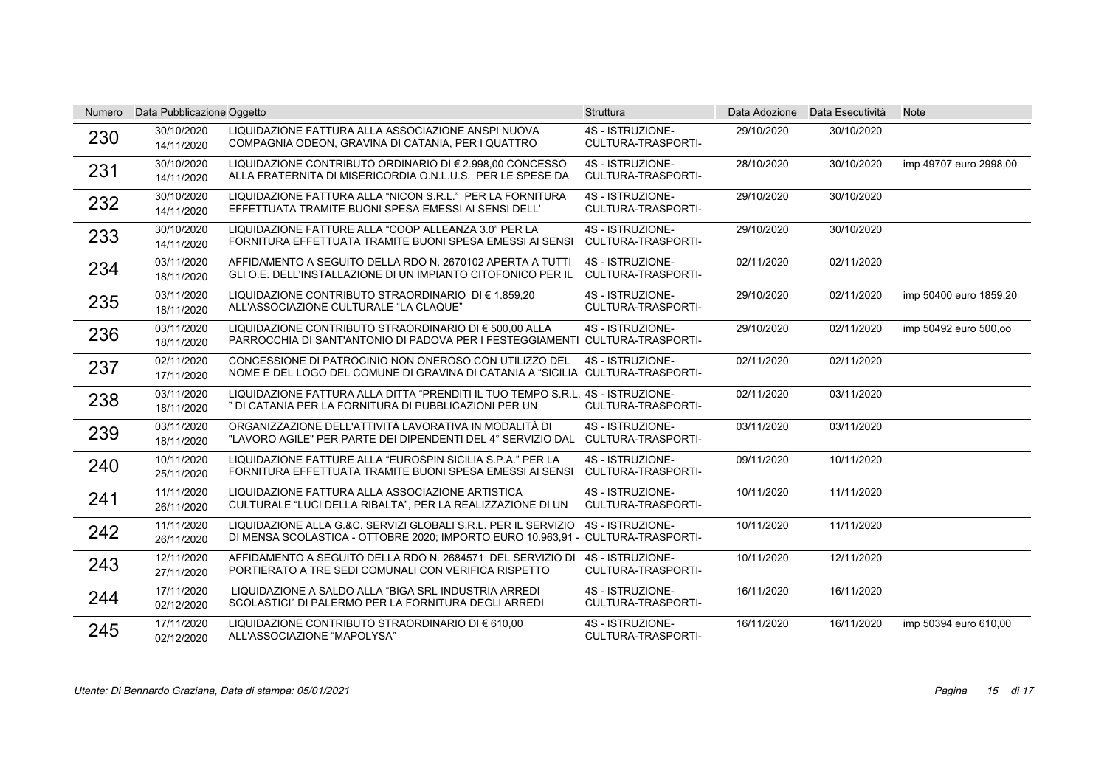| <b>Numero</b> | Data Pubblicazione Oggetto |                                                                                                                                                   | Struttura                                     | Data Adozione | Data Esecutività | <b>Note</b>            |
|---------------|----------------------------|---------------------------------------------------------------------------------------------------------------------------------------------------|-----------------------------------------------|---------------|------------------|------------------------|
| 230           | 30/10/2020<br>14/11/2020   | LIQUIDAZIONE FATTURA ALLA ASSOCIAZIONE ANSPI NUOVA<br>COMPAGNIA ODEON, GRAVINA DI CATANIA, PER I QUATTRO                                          | 4S - ISTRUZIONE-<br>CULTURA-TRASPORTI-        | 29/10/2020    | 30/10/2020       |                        |
| 231           | 30/10/2020<br>14/11/2020   | LIQUIDAZIONE CONTRIBUTO ORDINARIO DI € 2.998.00 CONCESSO<br>ALLA FRATERNITA DI MISERICORDIA O.N.L.U.S. PER LE SPESE DA                            | 4S - ISTRUZIONE-<br><b>CULTURA-TRASPORTI-</b> | 28/10/2020    | 30/10/2020       | imp 49707 euro 2998.00 |
| 232           | 30/10/2020<br>14/11/2020   | LIQUIDAZIONE FATTURA ALLA "NICON S.R.L." PER LA FORNITURA<br>EFFETTUATA TRAMITE BUONI SPESA EMESSI AI SENSI DELL'                                 | 4S - ISTRUZIONE-<br>CULTURA-TRASPORTI-        | 29/10/2020    | 30/10/2020       |                        |
| 233           | 30/10/2020<br>14/11/2020   | LIQUIDAZIONE FATTURE ALLA "COOP ALLEANZA 3.0" PER LA<br>FORNITURA EFFETTUATA TRAMITE BUONI SPESA EMESSI AI SENSI                                  | 4S - ISTRUZIONE-<br><b>CULTURA-TRASPORTI-</b> | 29/10/2020    | 30/10/2020       |                        |
| 234           | 03/11/2020<br>18/11/2020   | AFFIDAMENTO A SEGUITO DELLA RDO N. 2670102 APERTA A TUTTI<br>GLI O.E. DELL'INSTALLAZIONE DI UN IMPIANTO CITOFONICO PER IL                         | 4S - ISTRUZIONE-<br><b>CULTURA-TRASPORTI-</b> | 02/11/2020    | 02/11/2020       |                        |
| 235           | 03/11/2020<br>18/11/2020   | LIQUIDAZIONE CONTRIBUTO STRAORDINARIO DI € 1.859,20<br>ALL'ASSOCIAZIONE CULTURALE "LA CLAQUE"                                                     | 4S - ISTRUZIONE-<br>CULTURA-TRASPORTI-        | 29/10/2020    | 02/11/2020       | imp 50400 euro 1859,20 |
| 236           | 03/11/2020<br>18/11/2020   | LIQUIDAZIONE CONTRIBUTO STRAORDINARIO DI € 500,00 ALLA<br>PARROCCHIA DI SANT'ANTONIO DI PADOVA PER I FESTEGGIAMENTI CULTURA-TRASPORTI-            | 4S - ISTRUZIONE-                              | 29/10/2020    | 02/11/2020       | imp 50492 euro 500,00  |
| 237           | 02/11/2020<br>17/11/2020   | CONCESSIONE DI PATROCINIO NON ONEROSO CON UTILIZZO DEL<br>NOME E DEL LOGO DEL COMUNE DI GRAVINA DI CATANIA A "SICILIA CULTURA-TRASPORTI-          | 4S - ISTRUZIONE-                              | 02/11/2020    | 02/11/2020       |                        |
| 238           | 03/11/2020<br>18/11/2020   | LIQUIDAZIONE FATTURA ALLA DITTA "PRENDITI IL TUO TEMPO S.R.L. 4S - ISTRUZIONE-<br>" DI CATANIA PER LA FORNITURA DI PUBBLICAZIONI PER UN           | CULTURA-TRASPORTI-                            | 02/11/2020    | 03/11/2020       |                        |
| 239           | 03/11/2020<br>18/11/2020   | ORGANIZZAZIONE DELL'ATTIVITÀ LAVORATIVA IN MODALITÀ DI<br>"LAVORO AGILE" PER PARTE DEI DIPENDENTI DEL 4° SERVIZIO DAL                             | 4S - ISTRUZIONE-<br>CULTURA-TRASPORTI-        | 03/11/2020    | 03/11/2020       |                        |
| 240           | 10/11/2020<br>25/11/2020   | LIQUIDAZIONE FATTURE ALLA "EUROSPIN SICILIA S.P.A." PER LA<br>FORNITURA EFFETTUATA TRAMITE BUONI SPESA EMESSI AI SENSI                            | 4S - ISTRUZIONE-<br><b>CULTURA-TRASPORTI-</b> | 09/11/2020    | 10/11/2020       |                        |
| 241           | 11/11/2020<br>26/11/2020   | LIQUIDAZIONE FATTURA ALLA ASSOCIAZIONE ARTISTICA<br>CULTURALE "LUCI DELLA RIBALTA", PER LA REALIZZAZIONE DI UN                                    | 4S - ISTRUZIONE-<br>CULTURA-TRASPORTI-        | 10/11/2020    | 11/11/2020       |                        |
| 242           | 11/11/2020<br>26/11/2020   | LIQUIDAZIONE ALLA G.&C. SERVIZI GLOBALI S.R.L. PER IL SERVIZIO<br>DI MENSA SCOLASTICA - OTTOBRE 2020; IMPORTO EURO 10.963,91 - CULTURA-TRASPORTI- | 4S - ISTRUZIONE-                              | 10/11/2020    | 11/11/2020       |                        |
| 243           | 12/11/2020<br>27/11/2020   | AFFIDAMENTO A SEGUITO DELLA RDO N. 2684571 DEL SERVIZIO DI<br>PORTIERATO A TRE SEDI COMUNALI CON VERIFICA RISPETTO                                | 4S - ISTRUZIONE-<br><b>CULTURA-TRASPORTI-</b> | 10/11/2020    | 12/11/2020       |                        |
| 244           | 17/11/2020<br>02/12/2020   | LIQUIDAZIONE A SALDO ALLA "BIGA SRL INDUSTRIA ARREDI<br>SCOLASTICI" DI PALERMO PER LA FORNITURA DEGLI ARREDI                                      | 4S - ISTRUZIONE-<br>CULTURA-TRASPORTI-        | 16/11/2020    | 16/11/2020       |                        |
| 245           | 17/11/2020<br>02/12/2020   | LIQUIDAZIONE CONTRIBUTO STRAORDINARIO DI € 610,00<br>ALL'ASSOCIAZIONE "MAPOLYSA"                                                                  | 4S - ISTRUZIONE-<br>CULTURA-TRASPORTI-        | 16/11/2020    | 16/11/2020       | imp 50394 euro 610,00  |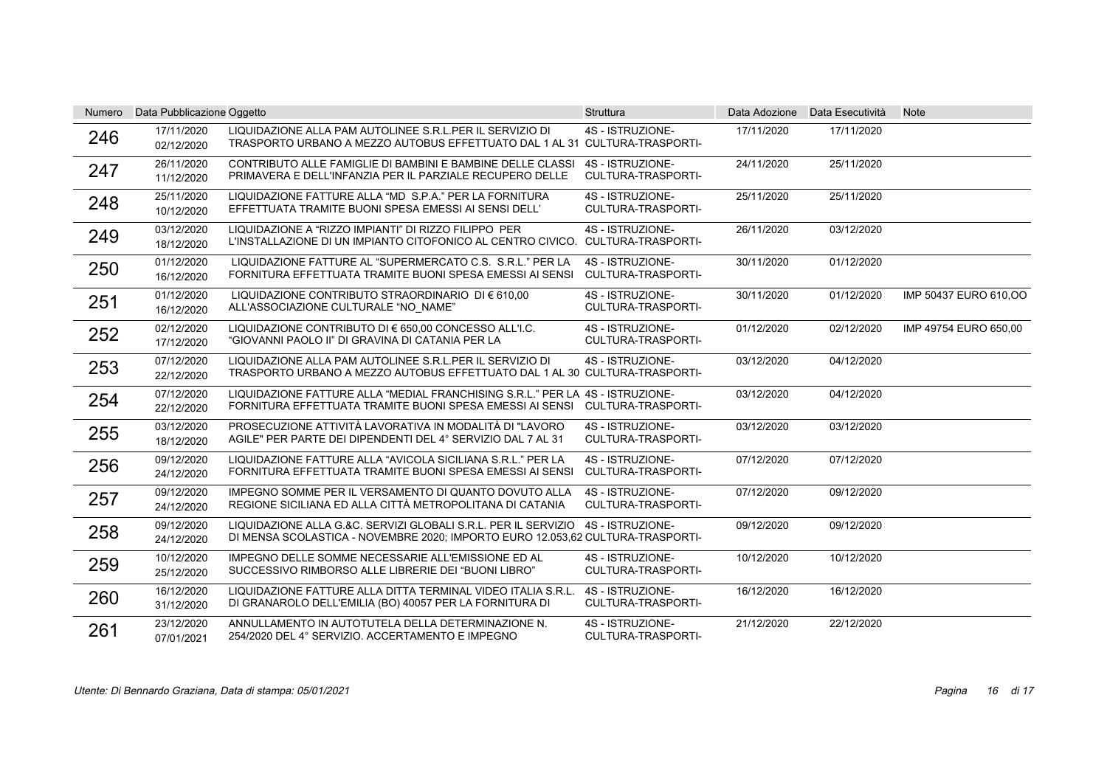| <b>Numero</b> | Data Pubblicazione Oggetto |                                                                                                                                                              | <b>Struttura</b>                              |            | Data Adozione Data Esecutività | <b>Note</b>           |
|---------------|----------------------------|--------------------------------------------------------------------------------------------------------------------------------------------------------------|-----------------------------------------------|------------|--------------------------------|-----------------------|
| 246           | 17/11/2020<br>02/12/2020   | LIQUIDAZIONE ALLA PAM AUTOLINEE S.R.L.PER IL SERVIZIO DI<br>TRASPORTO URBANO A MEZZO AUTOBUS EFFETTUATO DAL 1 AL 31 CULTURA-TRASPORTI-                       | 4S - ISTRUZIONE-                              | 17/11/2020 | 17/11/2020                     |                       |
| 247           | 26/11/2020<br>11/12/2020   | CONTRIBUTO ALLE FAMIGLIE DI BAMBINI E BAMBINE DELLE CLASSI<br>PRIMAVERA E DELL'INFANZIA PER IL PARZIALE RECUPERO DELLE                                       | 4S - ISTRUZIONE-<br><b>CULTURA-TRASPORTI-</b> | 24/11/2020 | 25/11/2020                     |                       |
| 248           | 25/11/2020<br>10/12/2020   | LIQUIDAZIONE FATTURE ALLA "MD S.P.A." PER LA FORNITURA<br>EFFETTUATA TRAMITE BUONI SPESA EMESSI AI SENSI DELL'                                               | 4S - ISTRUZIONE-<br><b>CULTURA-TRASPORTI-</b> | 25/11/2020 | 25/11/2020                     |                       |
| 249           | 03/12/2020<br>18/12/2020   | LIQUIDAZIONE A "RIZZO IMPIANTI" DI RIZZO FILIPPO PER<br>L'INSTALLAZIONE DI UN IMPIANTO CITOFONICO AL CENTRO CIVICO. CULTURA-TRASPORTI-                       | 4S - ISTRUZIONE-                              | 26/11/2020 | 03/12/2020                     |                       |
| 250           | 01/12/2020<br>16/12/2020   | LIQUIDAZIONE FATTURE AL "SUPERMERCATO C.S. S.R.L." PER LA<br>FORNITURA EFFETTUATA TRAMITE BUONI SPESA EMESSI AI SENSI                                        | 4S - ISTRUZIONE-<br>CULTURA-TRASPORTI-        | 30/11/2020 | 01/12/2020                     |                       |
| 251           | 01/12/2020<br>16/12/2020   | LIQUIDAZIONE CONTRIBUTO STRAORDINARIO DI € 610,00<br>ALL'ASSOCIAZIONE CULTURALE "NO NAME"                                                                    | 4S - ISTRUZIONE-<br><b>CULTURA-TRASPORTI-</b> | 30/11/2020 | 01/12/2020                     | IMP 50437 EURO 610,00 |
| 252           | 02/12/2020<br>17/12/2020   | LIQUIDAZIONE CONTRIBUTO DI € 650,00 CONCESSO ALL'I.C.<br>"GIOVANNI PAOLO II" DI GRAVINA DI CATANIA PER LA                                                    | 4S - ISTRUZIONE-<br><b>CULTURA-TRASPORTI-</b> | 01/12/2020 | 02/12/2020                     | IMP 49754 EURO 650,00 |
| 253           | 07/12/2020<br>22/12/2020   | LIQUIDAZIONE ALLA PAM AUTOLINEE S.R.L.PER IL SERVIZIO DI<br>TRASPORTO URBANO A MEZZO AUTOBUS EFFETTUATO DAL 1 AL 30 CULTURA-TRASPORTI-                       | 4S - ISTRUZIONE-                              | 03/12/2020 | 04/12/2020                     |                       |
| 254           | 07/12/2020<br>22/12/2020   | LIQUIDAZIONE FATTURE ALLA "MEDIAL FRANCHISING S.R.L." PER LA 4S - ISTRUZIONE-<br>FORNITURA EFFETTUATA TRAMITE BUONI SPESA EMESSI AI SENSI CULTURA-TRASPORTI- |                                               | 03/12/2020 | 04/12/2020                     |                       |
| 255           | 03/12/2020<br>18/12/2020   | PROSECUZIONE ATTIVITÀ LAVORATIVA IN MODALITÀ DI "LAVORO<br>AGILE" PER PARTE DEI DIPENDENTI DEL 4° SERVIZIO DAL 7 AL 31                                       | 4S - ISTRUZIONE-<br>CULTURA-TRASPORTI-        | 03/12/2020 | 03/12/2020                     |                       |
| 256           | 09/12/2020<br>24/12/2020   | LIQUIDAZIONE FATTURE ALLA "AVICOLA SICILIANA S.R.L." PER LA<br>FORNITURA EFFETTUATA TRAMITE BUONI SPESA EMESSI AI SENSI                                      | 4S - ISTRUZIONE-<br>CULTURA-TRASPORTI-        | 07/12/2020 | 07/12/2020                     |                       |
| 257           | 09/12/2020<br>24/12/2020   | IMPEGNO SOMME PER IL VERSAMENTO DI QUANTO DOVUTO ALLA<br>REGIONE SICILIANA ED ALLA CITTÀ METROPOLITANA DI CATANIA                                            | 4S - ISTRUZIONE-<br><b>CULTURA-TRASPORTI-</b> | 07/12/2020 | 09/12/2020                     |                       |
| 258           | 09/12/2020<br>24/12/2020   | LIQUIDAZIONE ALLA G.&C. SERVIZI GLOBALI S.R.L. PER IL SERVIZIO<br>DI MENSA SCOLASTICA - NOVEMBRE 2020; IMPORTO EURO 12.053.62 CULTURA-TRASPORTI-             | 4S - ISTRUZIONE-                              | 09/12/2020 | 09/12/2020                     |                       |
| 259           | 10/12/2020<br>25/12/2020   | IMPEGNO DELLE SOMME NECESSARIE ALL'EMISSIONE ED AL<br>SUCCESSIVO RIMBORSO ALLE LIBRERIE DEI "BUONI LIBRO"                                                    | 4S - ISTRUZIONE-<br><b>CULTURA-TRASPORTI-</b> | 10/12/2020 | 10/12/2020                     |                       |
| 260           | 16/12/2020<br>31/12/2020   | LIQUIDAZIONE FATTURE ALLA DITTA TERMINAL VIDEO ITALIA S.R.L.<br>DI GRANAROLO DELL'EMILIA (BO) 40057 PER LA FORNITURA DI                                      | 4S - ISTRUZIONE-<br>CULTURA-TRASPORTI-        | 16/12/2020 | 16/12/2020                     |                       |
| 261           | 23/12/2020<br>07/01/2021   | ANNULLAMENTO IN AUTOTUTELA DELLA DETERMINAZIONE N.<br>254/2020 DEL 4° SERVIZIO. ACCERTAMENTO E IMPEGNO                                                       | 4S - ISTRUZIONE-<br>CULTURA-TRASPORTI-        | 21/12/2020 | 22/12/2020                     |                       |